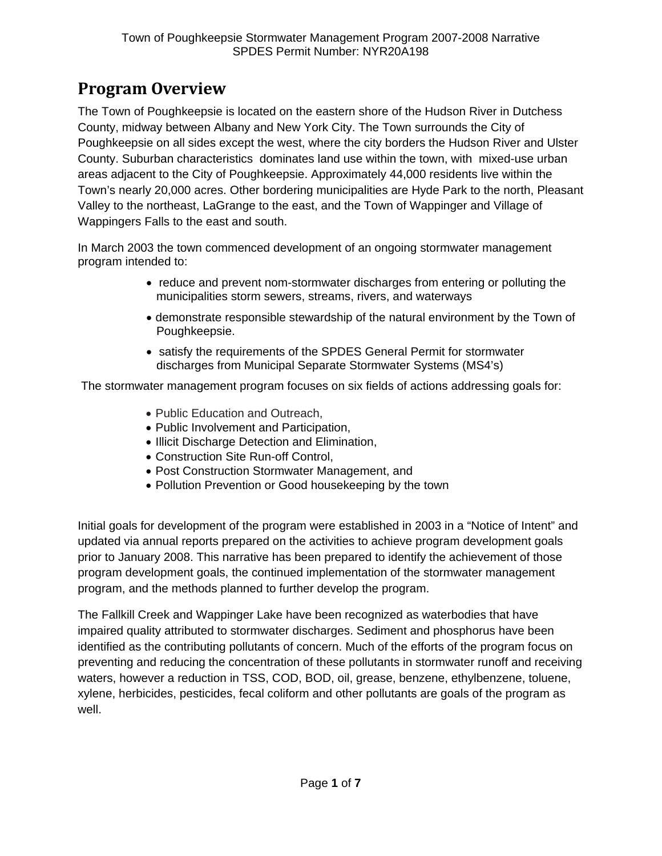## **Program Overview**

The Town of Poughkeepsie is located on the eastern shore of the Hudson River in Dutchess County, midway between Albany and New York City. The Town surrounds the City of Poughkeepsie on all sides except the west, where the city borders the Hudson River and Ulster County. Suburban characteristics dominates land use within the town, with mixed-use urban areas adjacent to the City of Poughkeepsie. Approximately 44,000 residents live within the Town's nearly 20,000 acres. Other bordering municipalities are Hyde Park to the north, Pleasant Valley to the northeast, LaGrange to the east, and the Town of Wappinger and Village of Wappingers Falls to the east and south.

In March 2003 the town commenced development of an ongoing stormwater management program intended to:

- reduce and prevent nom-stormwater discharges from entering or polluting the municipalities storm sewers, streams, rivers, and waterways
- demonstrate responsible stewardship of the natural environment by the Town of Poughkeepsie.
- satisfy the requirements of the SPDES General Permit for stormwater discharges from Municipal Separate Stormwater Systems (MS4's)

The stormwater management program focuses on six fields of actions addressing goals for:

- Public Education and Outreach,
- Public Involvement and Participation,
- Illicit Discharge Detection and Elimination,
- Construction Site Run-off Control,
- Post Construction Stormwater Management, and
- Pollution Prevention or Good housekeeping by the town

Initial goals for development of the program were established in 2003 in a "Notice of Intent" and updated via annual reports prepared on the activities to achieve program development goals prior to January 2008. This narrative has been prepared to identify the achievement of those program development goals, the continued implementation of the stormwater management program, and the methods planned to further develop the program.

The Fallkill Creek and Wappinger Lake have been recognized as waterbodies that have impaired quality attributed to stormwater discharges. Sediment and phosphorus have been identified as the contributing pollutants of concern. Much of the efforts of the program focus on preventing and reducing the concentration of these pollutants in stormwater runoff and receiving waters, however a reduction in TSS, COD, BOD, oil, grease, benzene, ethylbenzene, toluene, xylene, herbicides, pesticides, fecal coliform and other pollutants are goals of the program as well.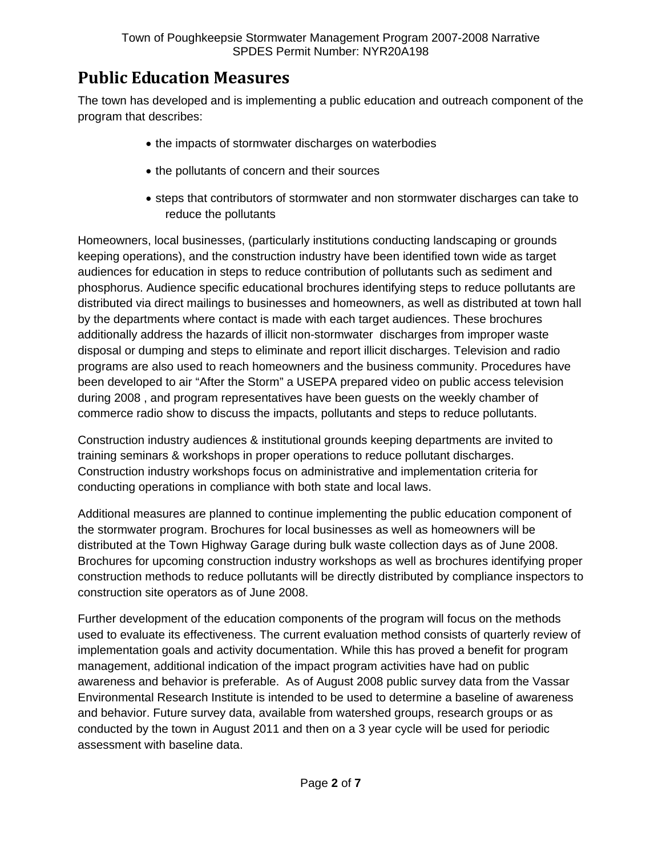## **Public Education Measures**

The town has developed and is implementing a public education and outreach component of the program that describes:

- the impacts of stormwater discharges on waterbodies
- the pollutants of concern and their sources
- steps that contributors of stormwater and non stormwater discharges can take to reduce the pollutants

Homeowners, local businesses, (particularly institutions conducting landscaping or grounds keeping operations), and the construction industry have been identified town wide as target audiences for education in steps to reduce contribution of pollutants such as sediment and phosphorus. Audience specific educational brochures identifying steps to reduce pollutants are distributed via direct mailings to businesses and homeowners, as well as distributed at town hall by the departments where contact is made with each target audiences. These brochures additionally address the hazards of illicit non-stormwater discharges from improper waste disposal or dumping and steps to eliminate and report illicit discharges. Television and radio programs are also used to reach homeowners and the business community. Procedures have been developed to air "After the Storm" a USEPA prepared video on public access television during 2008 , and program representatives have been guests on the weekly chamber of commerce radio show to discuss the impacts, pollutants and steps to reduce pollutants.

Construction industry audiences & institutional grounds keeping departments are invited to training seminars & workshops in proper operations to reduce pollutant discharges. Construction industry workshops focus on administrative and implementation criteria for conducting operations in compliance with both state and local laws.

Additional measures are planned to continue implementing the public education component of the stormwater program. Brochures for local businesses as well as homeowners will be distributed at the Town Highway Garage during bulk waste collection days as of June 2008. Brochures for upcoming construction industry workshops as well as brochures identifying proper construction methods to reduce pollutants will be directly distributed by compliance inspectors to construction site operators as of June 2008.

Further development of the education components of the program will focus on the methods used to evaluate its effectiveness. The current evaluation method consists of quarterly review of implementation goals and activity documentation. While this has proved a benefit for program management, additional indication of the impact program activities have had on public awareness and behavior is preferable. As of August 2008 public survey data from the Vassar Environmental Research Institute is intended to be used to determine a baseline of awareness and behavior. Future survey data, available from watershed groups, research groups or as conducted by the town in August 2011 and then on a 3 year cycle will be used for periodic assessment with baseline data.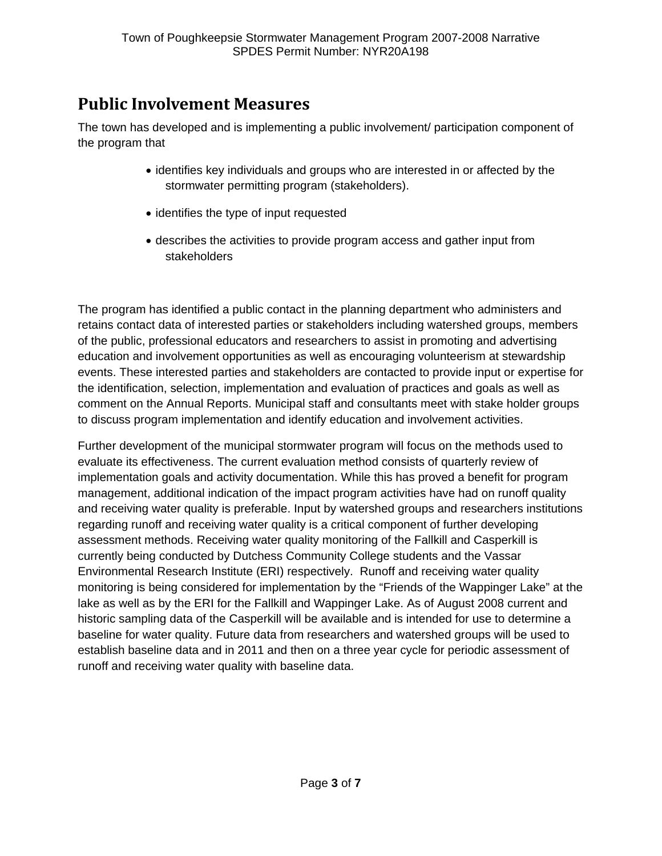## **Public Involvement Measures**

The town has developed and is implementing a public involvement/ participation component of the program that

- identifies key individuals and groups who are interested in or affected by the stormwater permitting program (stakeholders).
- identifies the type of input requested
- describes the activities to provide program access and gather input from stakeholders

The program has identified a public contact in the planning department who administers and retains contact data of interested parties or stakeholders including watershed groups, members of the public, professional educators and researchers to assist in promoting and advertising education and involvement opportunities as well as encouraging volunteerism at stewardship events. These interested parties and stakeholders are contacted to provide input or expertise for the identification, selection, implementation and evaluation of practices and goals as well as comment on the Annual Reports. Municipal staff and consultants meet with stake holder groups to discuss program implementation and identify education and involvement activities.

Further development of the municipal stormwater program will focus on the methods used to evaluate its effectiveness. The current evaluation method consists of quarterly review of implementation goals and activity documentation. While this has proved a benefit for program management, additional indication of the impact program activities have had on runoff quality and receiving water quality is preferable. Input by watershed groups and researchers institutions regarding runoff and receiving water quality is a critical component of further developing assessment methods. Receiving water quality monitoring of the Fallkill and Casperkill is currently being conducted by Dutchess Community College students and the Vassar Environmental Research Institute (ERI) respectively. Runoff and receiving water quality monitoring is being considered for implementation by the "Friends of the Wappinger Lake" at the lake as well as by the ERI for the Fallkill and Wappinger Lake. As of August 2008 current and historic sampling data of the Casperkill will be available and is intended for use to determine a baseline for water quality. Future data from researchers and watershed groups will be used to establish baseline data and in 2011 and then on a three year cycle for periodic assessment of runoff and receiving water quality with baseline data.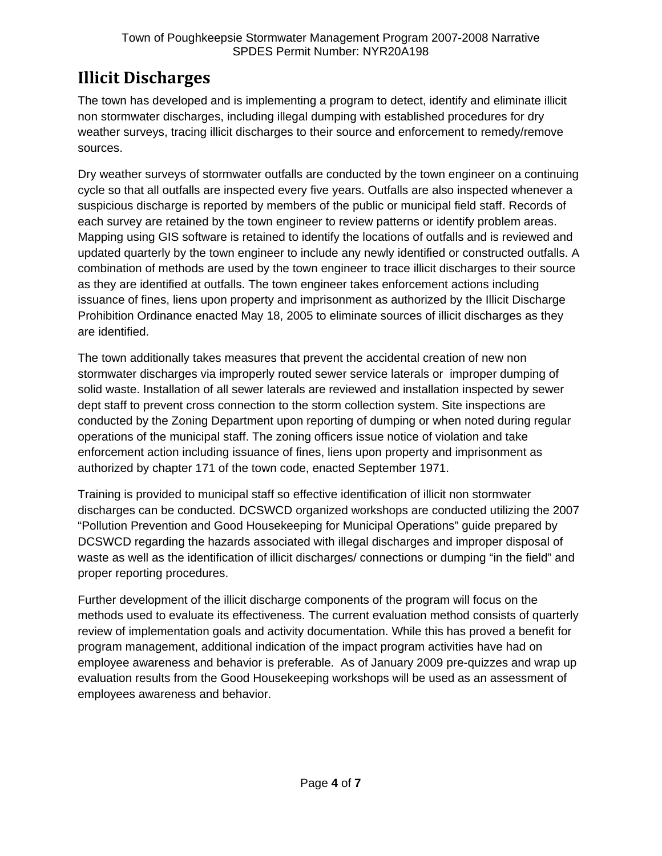## **Illicit Discharges**

The town has developed and is implementing a program to detect, identify and eliminate illicit non stormwater discharges, including illegal dumping with established procedures for dry weather surveys, tracing illicit discharges to their source and enforcement to remedy/remove sources.

Dry weather surveys of stormwater outfalls are conducted by the town engineer on a continuing cycle so that all outfalls are inspected every five years. Outfalls are also inspected whenever a suspicious discharge is reported by members of the public or municipal field staff. Records of each survey are retained by the town engineer to review patterns or identify problem areas. Mapping using GIS software is retained to identify the locations of outfalls and is reviewed and updated quarterly by the town engineer to include any newly identified or constructed outfalls. A combination of methods are used by the town engineer to trace illicit discharges to their source as they are identified at outfalls. The town engineer takes enforcement actions including issuance of fines, liens upon property and imprisonment as authorized by the Illicit Discharge Prohibition Ordinance enacted May 18, 2005 to eliminate sources of illicit discharges as they are identified.

The town additionally takes measures that prevent the accidental creation of new non stormwater discharges via improperly routed sewer service laterals or improper dumping of solid waste. Installation of all sewer laterals are reviewed and installation inspected by sewer dept staff to prevent cross connection to the storm collection system. Site inspections are conducted by the Zoning Department upon reporting of dumping or when noted during regular operations of the municipal staff. The zoning officers issue notice of violation and take enforcement action including issuance of fines, liens upon property and imprisonment as authorized by chapter 171 of the town code, enacted September 1971.

Training is provided to municipal staff so effective identification of illicit non stormwater discharges can be conducted. DCSWCD organized workshops are conducted utilizing the 2007 "Pollution Prevention and Good Housekeeping for Municipal Operations" guide prepared by DCSWCD regarding the hazards associated with illegal discharges and improper disposal of waste as well as the identification of illicit discharges/ connections or dumping "in the field" and proper reporting procedures.

Further development of the illicit discharge components of the program will focus on the methods used to evaluate its effectiveness. The current evaluation method consists of quarterly review of implementation goals and activity documentation. While this has proved a benefit for program management, additional indication of the impact program activities have had on employee awareness and behavior is preferable. As of January 2009 pre-quizzes and wrap up evaluation results from the Good Housekeeping workshops will be used as an assessment of employees awareness and behavior.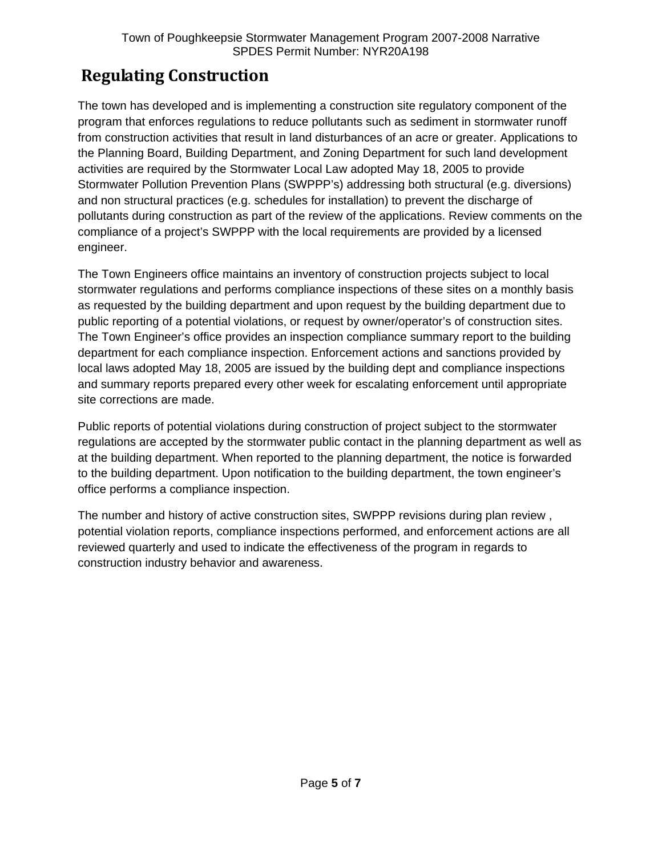## **Regulating Construction**

The town has developed and is implementing a construction site regulatory component of the program that enforces regulations to reduce pollutants such as sediment in stormwater runoff from construction activities that result in land disturbances of an acre or greater. Applications to the Planning Board, Building Department, and Zoning Department for such land development activities are required by the Stormwater Local Law adopted May 18, 2005 to provide Stormwater Pollution Prevention Plans (SWPPP's) addressing both structural (e.g. diversions) and non structural practices (e.g. schedules for installation) to prevent the discharge of pollutants during construction as part of the review of the applications. Review comments on the compliance of a project's SWPPP with the local requirements are provided by a licensed engineer.

The Town Engineers office maintains an inventory of construction projects subject to local stormwater regulations and performs compliance inspections of these sites on a monthly basis as requested by the building department and upon request by the building department due to public reporting of a potential violations, or request by owner/operator's of construction sites. The Town Engineer's office provides an inspection compliance summary report to the building department for each compliance inspection. Enforcement actions and sanctions provided by local laws adopted May 18, 2005 are issued by the building dept and compliance inspections and summary reports prepared every other week for escalating enforcement until appropriate site corrections are made.

Public reports of potential violations during construction of project subject to the stormwater regulations are accepted by the stormwater public contact in the planning department as well as at the building department. When reported to the planning department, the notice is forwarded to the building department. Upon notification to the building department, the town engineer's office performs a compliance inspection.

The number and history of active construction sites, SWPPP revisions during plan review , potential violation reports, compliance inspections performed, and enforcement actions are all reviewed quarterly and used to indicate the effectiveness of the program in regards to construction industry behavior and awareness.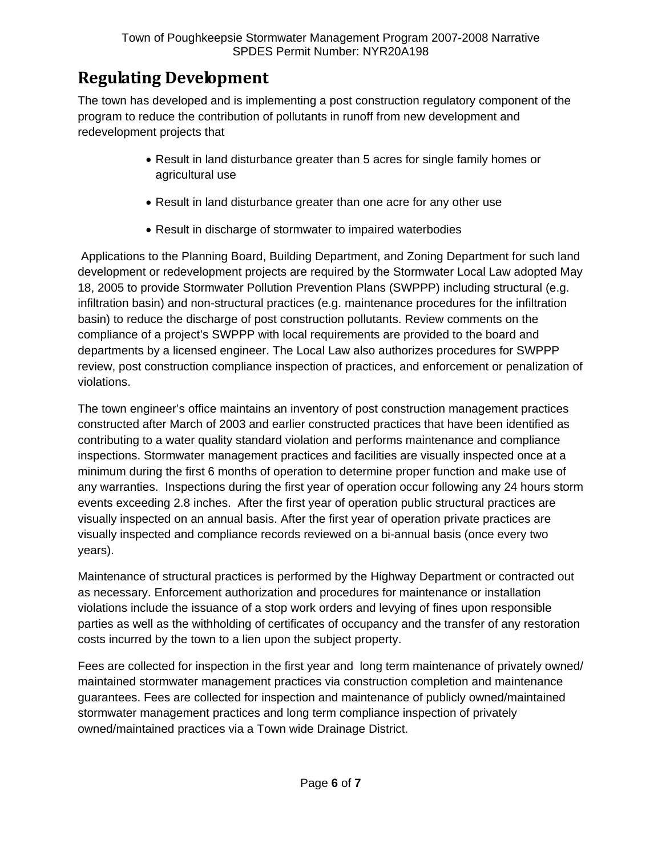## **Regulating Development**

The town has developed and is implementing a post construction regulatory component of the program to reduce the contribution of pollutants in runoff from new development and redevelopment projects that

- Result in land disturbance greater than 5 acres for single family homes or agricultural use
- Result in land disturbance greater than one acre for any other use
- Result in discharge of stormwater to impaired waterbodies

 Applications to the Planning Board, Building Department, and Zoning Department for such land development or redevelopment projects are required by the Stormwater Local Law adopted May 18, 2005 to provide Stormwater Pollution Prevention Plans (SWPPP) including structural (e.g. infiltration basin) and non-structural practices (e.g. maintenance procedures for the infiltration basin) to reduce the discharge of post construction pollutants. Review comments on the compliance of a project's SWPPP with local requirements are provided to the board and departments by a licensed engineer. The Local Law also authorizes procedures for SWPPP review, post construction compliance inspection of practices, and enforcement or penalization of violations.

The town engineer's office maintains an inventory of post construction management practices constructed after March of 2003 and earlier constructed practices that have been identified as contributing to a water quality standard violation and performs maintenance and compliance inspections. Stormwater management practices and facilities are visually inspected once at a minimum during the first 6 months of operation to determine proper function and make use of any warranties. Inspections during the first year of operation occur following any 24 hours storm events exceeding 2.8 inches. After the first year of operation public structural practices are visually inspected on an annual basis. After the first year of operation private practices are visually inspected and compliance records reviewed on a bi-annual basis (once every two years).

Maintenance of structural practices is performed by the Highway Department or contracted out as necessary. Enforcement authorization and procedures for maintenance or installation violations include the issuance of a stop work orders and levying of fines upon responsible parties as well as the withholding of certificates of occupancy and the transfer of any restoration costs incurred by the town to a lien upon the subject property.

Fees are collected for inspection in the first year and long term maintenance of privately owned/ maintained stormwater management practices via construction completion and maintenance guarantees. Fees are collected for inspection and maintenance of publicly owned/maintained stormwater management practices and long term compliance inspection of privately owned/maintained practices via a Town wide Drainage District.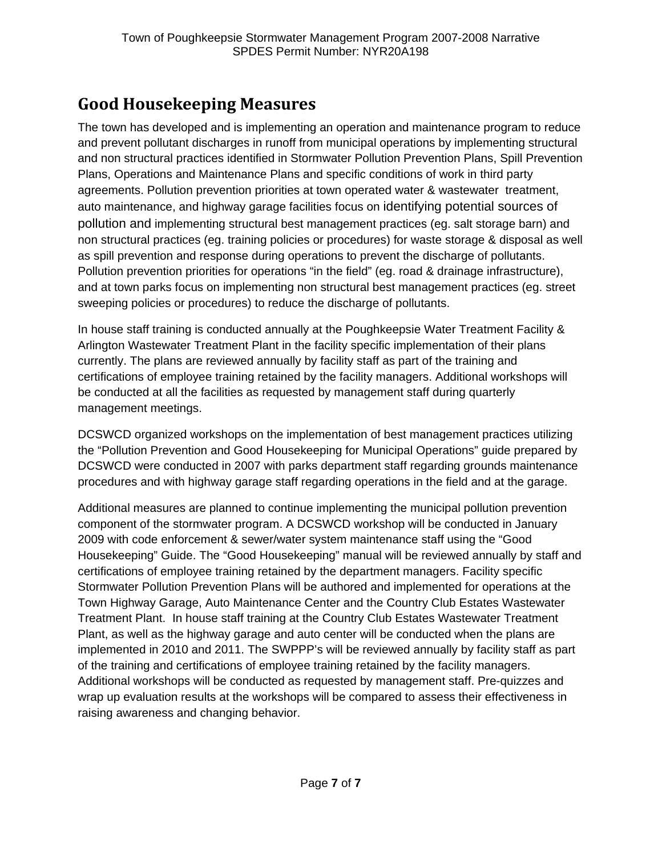## **Good Housekeeping Measures**

The town has developed and is implementing an operation and maintenance program to reduce and prevent pollutant discharges in runoff from municipal operations by implementing structural and non structural practices identified in Stormwater Pollution Prevention Plans, Spill Prevention Plans, Operations and Maintenance Plans and specific conditions of work in third party agreements. Pollution prevention priorities at town operated water & wastewater treatment, auto maintenance, and highway garage facilities focus on identifying potential sources of pollution and implementing structural best management practices (eg. salt storage barn) and non structural practices (eg. training policies or procedures) for waste storage & disposal as well as spill prevention and response during operations to prevent the discharge of pollutants. Pollution prevention priorities for operations "in the field" (eg. road & drainage infrastructure), and at town parks focus on implementing non structural best management practices (eg. street sweeping policies or procedures) to reduce the discharge of pollutants.

In house staff training is conducted annually at the Poughkeepsie Water Treatment Facility & Arlington Wastewater Treatment Plant in the facility specific implementation of their plans currently. The plans are reviewed annually by facility staff as part of the training and certifications of employee training retained by the facility managers. Additional workshops will be conducted at all the facilities as requested by management staff during quarterly management meetings.

DCSWCD organized workshops on the implementation of best management practices utilizing the "Pollution Prevention and Good Housekeeping for Municipal Operations" guide prepared by DCSWCD were conducted in 2007 with parks department staff regarding grounds maintenance procedures and with highway garage staff regarding operations in the field and at the garage.

Additional measures are planned to continue implementing the municipal pollution prevention component of the stormwater program. A DCSWCD workshop will be conducted in January 2009 with code enforcement & sewer/water system maintenance staff using the "Good Housekeeping" Guide. The "Good Housekeeping" manual will be reviewed annually by staff and certifications of employee training retained by the department managers. Facility specific Stormwater Pollution Prevention Plans will be authored and implemented for operations at the Town Highway Garage, Auto Maintenance Center and the Country Club Estates Wastewater Treatment Plant. In house staff training at the Country Club Estates Wastewater Treatment Plant, as well as the highway garage and auto center will be conducted when the plans are implemented in 2010 and 2011. The SWPPP's will be reviewed annually by facility staff as part of the training and certifications of employee training retained by the facility managers. Additional workshops will be conducted as requested by management staff. Pre-quizzes and wrap up evaluation results at the workshops will be compared to assess their effectiveness in raising awareness and changing behavior.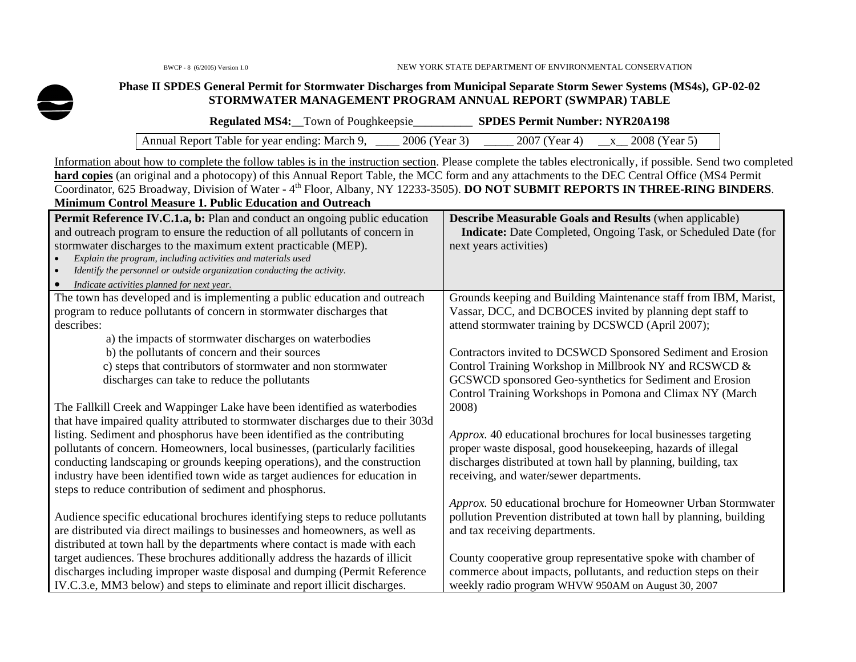

#### **Phase II SPDES General Permit for Stormwater Discharges from Municipal Separate Storm Sewer Systems (MS4s), GP-02-02 STORMWATER MANAGEMENT PROGRAM ANNUAL REPORT (SWMPAR) TABLE**

| <b>Regulated MS4:</b> Town of Poughkeepsie    |                 | <b>SPDES Permit Number: NYR20A198</b> |                   |
|-----------------------------------------------|-----------------|---------------------------------------|-------------------|
| Annual Report Table for year ending: March 9, | $2006$ (Year 3) | 2007 (Year 4)                         | $x$ 2008 (Year 5) |

Information about how to complete the follow tables is in the instruction section. Please complete the tables electronically, if possible. Send two completed hard copies (an original and a photocopy) of this Annual Report Table, the MCC form and any attachments to the DEC Central Office (MS4 Permit Coordinator, 625 Broadway, Division of Water - 4th Floor, Albany, NY 12233-3505). **DO NOT SUBMIT REPORTS IN THREE-RING BINDERS**. **Minimum Control Measure 1. Public Education and Outreach** 

| Permit Reference IV.C.1.a, b: Plan and conduct an ongoing public education<br>and outreach program to ensure the reduction of all pollutants of concern in<br>stormwater discharges to the maximum extent practicable (MEP).<br>Explain the program, including activities and materials used<br>$\bullet$<br>Identify the personnel or outside organization conducting the activity.<br>$\bullet$<br>Indicate activities planned for next year. | <b>Describe Measurable Goals and Results (when applicable)</b><br>Indicate: Date Completed, Ongoing Task, or Scheduled Date (for<br>next years activities) |
|-------------------------------------------------------------------------------------------------------------------------------------------------------------------------------------------------------------------------------------------------------------------------------------------------------------------------------------------------------------------------------------------------------------------------------------------------|------------------------------------------------------------------------------------------------------------------------------------------------------------|
| The town has developed and is implementing a public education and outreach<br>program to reduce pollutants of concern in stormwater discharges that                                                                                                                                                                                                                                                                                             | Grounds keeping and Building Maintenance staff from IBM, Marist,<br>Vassar, DCC, and DCBOCES invited by planning dept staff to                             |
| describes:                                                                                                                                                                                                                                                                                                                                                                                                                                      | attend stormwater training by DCSWCD (April 2007);                                                                                                         |
| a) the impacts of stormwater discharges on waterbodies                                                                                                                                                                                                                                                                                                                                                                                          |                                                                                                                                                            |
| b) the pollutants of concern and their sources                                                                                                                                                                                                                                                                                                                                                                                                  | Contractors invited to DCSWCD Sponsored Sediment and Erosion                                                                                               |
| c) steps that contributors of stormwater and non stormwater                                                                                                                                                                                                                                                                                                                                                                                     | Control Training Workshop in Millbrook NY and RCSWCD &                                                                                                     |
| discharges can take to reduce the pollutants                                                                                                                                                                                                                                                                                                                                                                                                    | GCSWCD sponsored Geo-synthetics for Sediment and Erosion                                                                                                   |
|                                                                                                                                                                                                                                                                                                                                                                                                                                                 | Control Training Workshops in Pomona and Climax NY (March                                                                                                  |
| The Fallkill Creek and Wappinger Lake have been identified as waterbodies                                                                                                                                                                                                                                                                                                                                                                       | 2008)                                                                                                                                                      |
| that have impaired quality attributed to stormwater discharges due to their 303d                                                                                                                                                                                                                                                                                                                                                                |                                                                                                                                                            |
| listing. Sediment and phosphorus have been identified as the contributing                                                                                                                                                                                                                                                                                                                                                                       | Approx. 40 educational brochures for local businesses targeting                                                                                            |
| pollutants of concern. Homeowners, local businesses, (particularly facilities<br>conducting landscaping or grounds keeping operations), and the construction                                                                                                                                                                                                                                                                                    | proper waste disposal, good housekeeping, hazards of illegal<br>discharges distributed at town hall by planning, building, tax                             |
| industry have been identified town wide as target audiences for education in                                                                                                                                                                                                                                                                                                                                                                    | receiving, and water/sewer departments.                                                                                                                    |
| steps to reduce contribution of sediment and phosphorus.                                                                                                                                                                                                                                                                                                                                                                                        |                                                                                                                                                            |
|                                                                                                                                                                                                                                                                                                                                                                                                                                                 | Approx. 50 educational brochure for Homeowner Urban Stormwater                                                                                             |
| Audience specific educational brochures identifying steps to reduce pollutants                                                                                                                                                                                                                                                                                                                                                                  | pollution Prevention distributed at town hall by planning, building                                                                                        |
| are distributed via direct mailings to businesses and homeowners, as well as                                                                                                                                                                                                                                                                                                                                                                    | and tax receiving departments.                                                                                                                             |
| distributed at town hall by the departments where contact is made with each                                                                                                                                                                                                                                                                                                                                                                     |                                                                                                                                                            |
| target audiences. These brochures additionally address the hazards of illicit                                                                                                                                                                                                                                                                                                                                                                   | County cooperative group representative spoke with chamber of                                                                                              |
| discharges including improper waste disposal and dumping (Permit Reference                                                                                                                                                                                                                                                                                                                                                                      | commerce about impacts, pollutants, and reduction steps on their                                                                                           |
| IV.C.3.e, MM3 below) and steps to eliminate and report illicit discharges.                                                                                                                                                                                                                                                                                                                                                                      | weekly radio program WHVW 950AM on August 30, 2007                                                                                                         |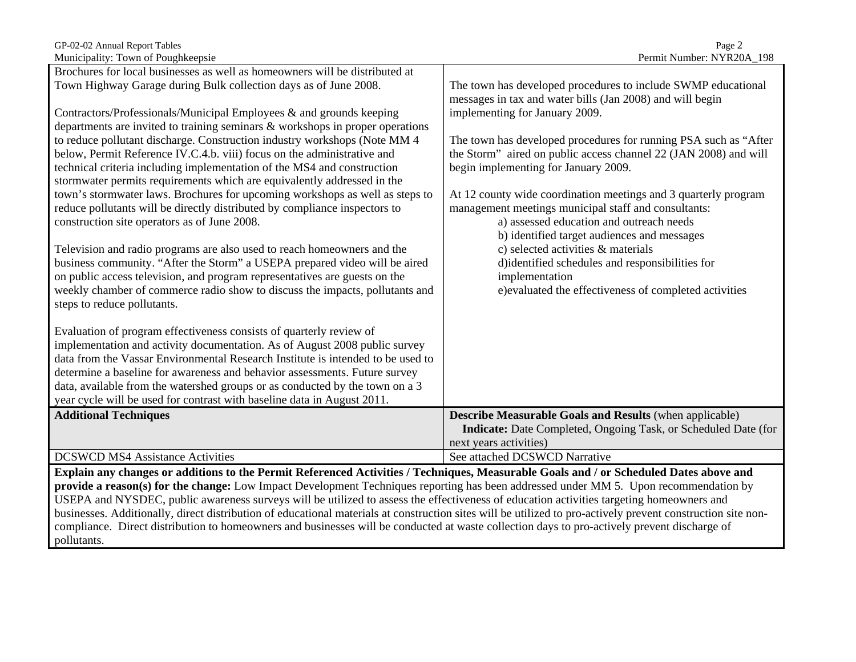| GP-02-02 Annual Report Tables         | $P_{\text{age}}$                                         |
|---------------------------------------|----------------------------------------------------------|
| Musiciae Charles Command Developments | $D_{\text{const}}$ $\mu$ M. $\mu$ $\mu$ $\mu$ M. MIVD 00 |

| Brochures for local businesses as well as homeowners will be distributed at                                                            |                                                                       |  |
|----------------------------------------------------------------------------------------------------------------------------------------|-----------------------------------------------------------------------|--|
| Town Highway Garage during Bulk collection days as of June 2008.                                                                       | The town has developed procedures to include SWMP educational         |  |
|                                                                                                                                        | messages in tax and water bills (Jan 2008) and will begin             |  |
| Contractors/Professionals/Municipal Employees & and grounds keeping                                                                    | implementing for January 2009.                                        |  |
| departments are invited to training seminars & workshops in proper operations                                                          |                                                                       |  |
| to reduce pollutant discharge. Construction industry workshops (Note MM 4                                                              | The town has developed procedures for running PSA such as "After      |  |
| below, Permit Reference IV.C.4.b. viii) focus on the administrative and                                                                | the Storm" aired on public access channel 22 (JAN 2008) and will      |  |
| technical criteria including implementation of the MS4 and construction                                                                | begin implementing for January 2009.                                  |  |
| stormwater permits requirements which are equivalently addressed in the                                                                |                                                                       |  |
| town's stormwater laws. Brochures for upcoming workshops as well as steps to                                                           | At 12 county wide coordination meetings and 3 quarterly program       |  |
| reduce pollutants will be directly distributed by compliance inspectors to                                                             | management meetings municipal staff and consultants:                  |  |
| construction site operators as of June 2008.                                                                                           | a) assessed education and outreach needs                              |  |
|                                                                                                                                        | b) identified target audiences and messages                           |  |
| Television and radio programs are also used to reach homeowners and the                                                                | c) selected activities & materials                                    |  |
| business community. "After the Storm" a USEPA prepared video will be aired                                                             | d)identified schedules and responsibilities for                       |  |
| on public access television, and program representatives are guests on the                                                             | implementation                                                        |  |
| weekly chamber of commerce radio show to discuss the impacts, pollutants and<br>steps to reduce pollutants.                            | e)evaluated the effectiveness of completed activities                 |  |
|                                                                                                                                        |                                                                       |  |
| Evaluation of program effectiveness consists of quarterly review of                                                                    |                                                                       |  |
| implementation and activity documentation. As of August 2008 public survey                                                             |                                                                       |  |
| data from the Vassar Environmental Research Institute is intended to be used to                                                        |                                                                       |  |
| determine a baseline for awareness and behavior assessments. Future survey                                                             |                                                                       |  |
| data, available from the watershed groups or as conducted by the town on a 3                                                           |                                                                       |  |
| year cycle will be used for contrast with baseline data in August 2011.                                                                |                                                                       |  |
| <b>Additional Techniques</b>                                                                                                           | <b>Describe Measurable Goals and Results (when applicable)</b>        |  |
|                                                                                                                                        | <b>Indicate:</b> Date Completed, Ongoing Task, or Scheduled Date (for |  |
|                                                                                                                                        | next years activities)                                                |  |
| <b>DCSWCD MS4 Assistance Activities</b>                                                                                                | See attached DCSWCD Narrative                                         |  |
| Explain any changes or additions to the Permit Referenced Activities / Techniques, Measurable Goals and / or Scheduled Dates above and |                                                                       |  |

**provide a reason(s) for the change:** Low Impact Development Techniques reporting has been addressed under MM 5. Upon recommendation by USEPA and NYSDEC, public awareness surveys will be utilized to assess the effectiveness of education activities targeting homeowners and businesses. Additionally, direct distribution of educational materials at construction sites will be utilized to pro-actively prevent construction site noncompliance. Direct distribution to homeowners and businesses will be conducted at waste collection days to pro-actively prevent discharge of pollutants.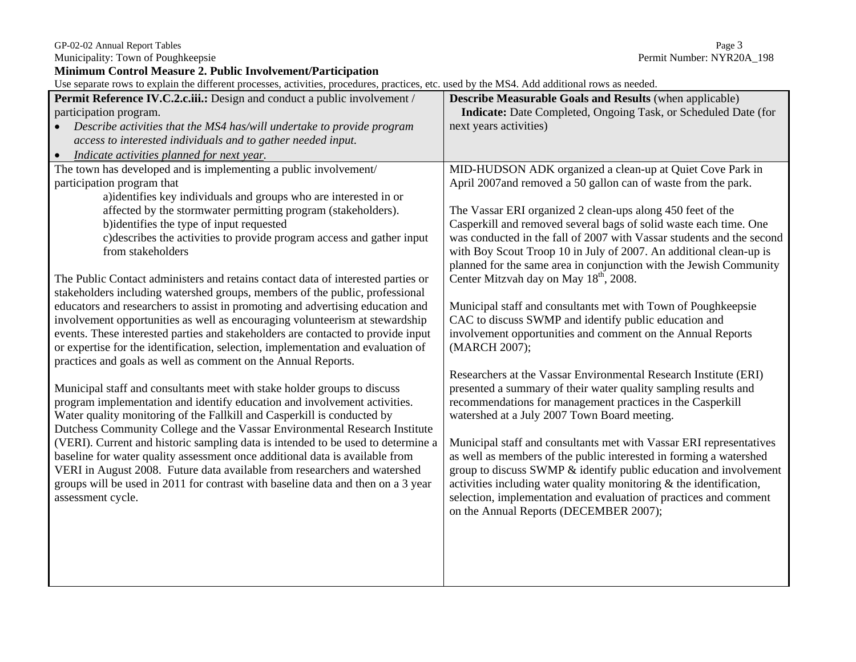Municipality: Town of Poughkeepsie

**Minimum Control Measure 2. Public Involvement/Participation** 

Use separate rows to explain the different processes, activities, procedures, practices, etc. used by the MS4. Add additional rows as needed.

| Ose separate rows to explain the unferent processes, activities, procedures, practices, cic. used by the MS+. Add additional rows as necded.<br>Permit Reference IV.C.2.c.iii.: Design and conduct a public involvement / | <b>Describe Measurable Goals and Results (when applicable)</b>                                                                          |
|---------------------------------------------------------------------------------------------------------------------------------------------------------------------------------------------------------------------------|-----------------------------------------------------------------------------------------------------------------------------------------|
| participation program.                                                                                                                                                                                                    | <b>Indicate:</b> Date Completed, Ongoing Task, or Scheduled Date (for                                                                   |
| Describe activities that the MS4 has/will undertake to provide program                                                                                                                                                    | next years activities)                                                                                                                  |
| access to interested individuals and to gather needed input.                                                                                                                                                              |                                                                                                                                         |
| Indicate activities planned for next year.<br>$\bullet$                                                                                                                                                                   |                                                                                                                                         |
| The town has developed and is implementing a public involvement/                                                                                                                                                          | MID-HUDSON ADK organized a clean-up at Quiet Cove Park in                                                                               |
| participation program that                                                                                                                                                                                                | April 2007and removed a 50 gallon can of waste from the park.                                                                           |
| a) identifies key individuals and groups who are interested in or                                                                                                                                                         |                                                                                                                                         |
| affected by the stormwater permitting program (stakeholders).                                                                                                                                                             | The Vassar ERI organized 2 clean-ups along 450 feet of the                                                                              |
| b)identifies the type of input requested                                                                                                                                                                                  | Casperkill and removed several bags of solid waste each time. One                                                                       |
| c) describes the activities to provide program access and gather input                                                                                                                                                    | was conducted in the fall of 2007 with Vassar students and the second                                                                   |
| from stakeholders                                                                                                                                                                                                         | with Boy Scout Troop 10 in July of 2007. An additional clean-up is                                                                      |
|                                                                                                                                                                                                                           | planned for the same area in conjunction with the Jewish Community                                                                      |
| The Public Contact administers and retains contact data of interested parties or                                                                                                                                          | Center Mitzvah day on May 18 <sup>th</sup> , 2008.                                                                                      |
| stakeholders including watershed groups, members of the public, professional<br>educators and researchers to assist in promoting and advertising education and                                                            | Municipal staff and consultants met with Town of Poughkeepsie                                                                           |
| involvement opportunities as well as encouraging volunteerism at stewardship                                                                                                                                              | CAC to discuss SWMP and identify public education and                                                                                   |
| events. These interested parties and stakeholders are contacted to provide input                                                                                                                                          | involvement opportunities and comment on the Annual Reports                                                                             |
| or expertise for the identification, selection, implementation and evaluation of                                                                                                                                          | (MARCH 2007);                                                                                                                           |
| practices and goals as well as comment on the Annual Reports.                                                                                                                                                             |                                                                                                                                         |
|                                                                                                                                                                                                                           | Researchers at the Vassar Environmental Research Institute (ERI)                                                                        |
| Municipal staff and consultants meet with stake holder groups to discuss                                                                                                                                                  | presented a summary of their water quality sampling results and                                                                         |
| program implementation and identify education and involvement activities.                                                                                                                                                 | recommendations for management practices in the Casperkill                                                                              |
| Water quality monitoring of the Fallkill and Casperkill is conducted by                                                                                                                                                   | watershed at a July 2007 Town Board meeting.                                                                                            |
| Dutchess Community College and the Vassar Environmental Research Institute                                                                                                                                                |                                                                                                                                         |
| (VERI). Current and historic sampling data is intended to be used to determine a                                                                                                                                          | Municipal staff and consultants met with Vassar ERI representatives                                                                     |
| baseline for water quality assessment once additional data is available from<br>VERI in August 2008. Future data available from researchers and watershed                                                                 | as well as members of the public interested in forming a watershed<br>group to discuss SWMP & identify public education and involvement |
| groups will be used in 2011 for contrast with baseline data and then on a 3 year                                                                                                                                          | activities including water quality monitoring $\&$ the identification,                                                                  |
| assessment cycle.                                                                                                                                                                                                         | selection, implementation and evaluation of practices and comment                                                                       |
|                                                                                                                                                                                                                           | on the Annual Reports (DECEMBER 2007);                                                                                                  |
|                                                                                                                                                                                                                           |                                                                                                                                         |
|                                                                                                                                                                                                                           |                                                                                                                                         |
|                                                                                                                                                                                                                           |                                                                                                                                         |
|                                                                                                                                                                                                                           |                                                                                                                                         |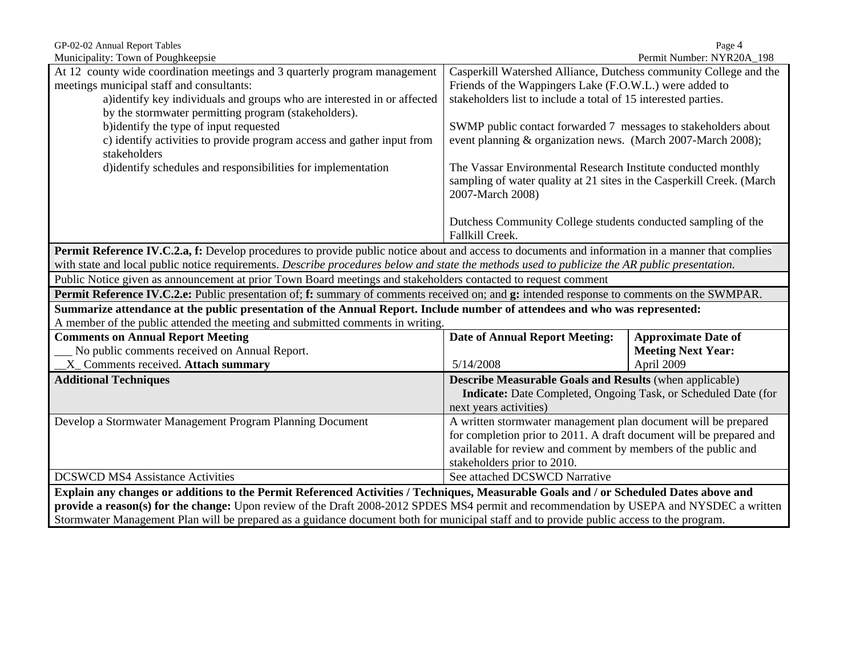| GP-02-02 Annual Report Tables<br>Page 4                                                                                                                  |                                                                                              |                            |  |
|----------------------------------------------------------------------------------------------------------------------------------------------------------|----------------------------------------------------------------------------------------------|----------------------------|--|
| Municipality: Town of Poughkeepsie<br>Permit Number: NYR20A_198                                                                                          |                                                                                              |                            |  |
| At 12 county wide coordination meetings and 3 quarterly program management                                                                               | Casperkill Watershed Alliance, Dutchess community College and the                            |                            |  |
| meetings municipal staff and consultants:                                                                                                                | Friends of the Wappingers Lake (F.O.W.L.) were added to                                      |                            |  |
| a)identify key individuals and groups who are interested in or affected                                                                                  | stakeholders list to include a total of 15 interested parties.                               |                            |  |
| by the stormwater permitting program (stakeholders).                                                                                                     |                                                                                              |                            |  |
| b)identify the type of input requested                                                                                                                   | SWMP public contact forwarded 7 messages to stakeholders about                               |                            |  |
| c) identify activities to provide program access and gather input from                                                                                   | event planning & organization news. (March 2007-March 2008);                                 |                            |  |
| stakeholders                                                                                                                                             |                                                                                              |                            |  |
| d)identify schedules and responsibilities for implementation                                                                                             | The Vassar Environmental Research Institute conducted monthly                                |                            |  |
|                                                                                                                                                          | sampling of water quality at 21 sites in the Casperkill Creek. (March                        |                            |  |
|                                                                                                                                                          | 2007-March 2008)                                                                             |                            |  |
|                                                                                                                                                          |                                                                                              |                            |  |
|                                                                                                                                                          | Dutchess Community College students conducted sampling of the                                |                            |  |
|                                                                                                                                                          | Fallkill Creek.                                                                              |                            |  |
| <b>Permit Reference IV.C.2.a, f:</b> Develop procedures to provide public notice about and access to documents and information in a manner that complies |                                                                                              |                            |  |
| with state and local public notice requirements. Describe procedures below and state the methods used to publicize the AR public presentation.           |                                                                                              |                            |  |
| Public Notice given as announcement at prior Town Board meetings and stakeholders contacted to request comment                                           |                                                                                              |                            |  |
| Permit Reference IV.C.2.e: Public presentation of; f: summary of comments received on; and g: intended response to comments on the SWMPAR.               |                                                                                              |                            |  |
| Summarize attendance at the public presentation of the Annual Report. Include number of attendees and who was represented:                               |                                                                                              |                            |  |
| A member of the public attended the meeting and submitted comments in writing.                                                                           |                                                                                              |                            |  |
| <b>Comments on Annual Report Meeting</b>                                                                                                                 | <b>Date of Annual Report Meeting:</b>                                                        | <b>Approximate Date of</b> |  |
| No public comments received on Annual Report.                                                                                                            | <b>Meeting Next Year:</b>                                                                    |                            |  |
|                                                                                                                                                          | 5/14/2008                                                                                    |                            |  |
| X_Comments received. Attach summary                                                                                                                      |                                                                                              | April 2009                 |  |
| <b>Additional Techniques</b>                                                                                                                             | <b>Describe Measurable Goals and Results (when applicable)</b>                               |                            |  |
|                                                                                                                                                          | Indicate: Date Completed, Ongoing Task, or Scheduled Date (for                               |                            |  |
|                                                                                                                                                          | next years activities)                                                                       |                            |  |
| Develop a Stormwater Management Program Planning Document                                                                                                | A written stormwater management plan document will be prepared                               |                            |  |
|                                                                                                                                                          | for completion prior to 2011. A draft document will be prepared and                          |                            |  |
|                                                                                                                                                          |                                                                                              |                            |  |
|                                                                                                                                                          | available for review and comment by members of the public and<br>stakeholders prior to 2010. |                            |  |
| <b>DCSWCD MS4 Assistance Activities</b>                                                                                                                  | See attached DCSWCD Narrative                                                                |                            |  |
| Explain any changes or additions to the Permit Referenced Activities / Techniques, Measurable Goals and / or Scheduled Dates above and                   |                                                                                              |                            |  |
| provide a reason(s) for the change: Upon review of the Draft 2008-2012 SPDES MS4 permit and recommendation by USEPA and NYSDEC a written                 |                                                                                              |                            |  |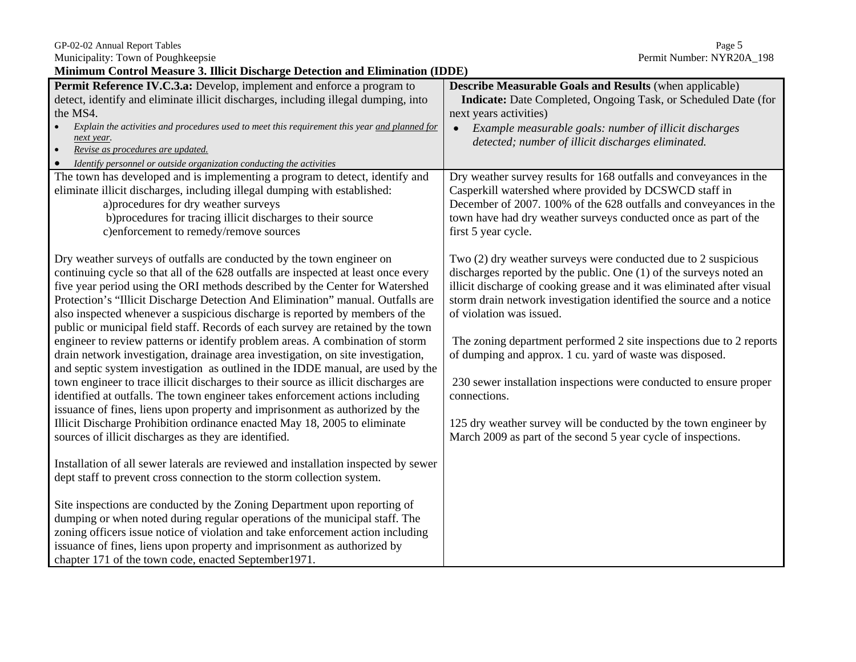| GP-02-02 Annual Report Tables | Page 5 |
|-------------------------------|--------|
|-------------------------------|--------|

**Minimum Control Measure 3. Illicit Discharge Detection and Elimination (IDDE)** 

| миниции социон меазите э. инск въснат де всессион ана виницают (пвве)                         |                                                                        |
|-----------------------------------------------------------------------------------------------|------------------------------------------------------------------------|
| Permit Reference IV.C.3.a: Develop, implement and enforce a program to                        | <b>Describe Measurable Goals and Results (when applicable)</b>         |
| detect, identify and eliminate illicit discharges, including illegal dumping, into            | Indicate: Date Completed, Ongoing Task, or Scheduled Date (for         |
| the MS4.                                                                                      | next years activities)                                                 |
| Explain the activities and procedures used to meet this requirement this year and planned for | Example measurable goals: number of illicit discharges<br>$\bullet$    |
| next year.                                                                                    | detected; number of illicit discharges eliminated.                     |
| Revise as procedures are updated.                                                             |                                                                        |
| Identify personnel or outside organization conducting the activities                          |                                                                        |
| The town has developed and is implementing a program to detect, identify and                  | Dry weather survey results for 168 outfalls and conveyances in the     |
| eliminate illicit discharges, including illegal dumping with established:                     | Casperkill watershed where provided by DCSWCD staff in                 |
| a) procedures for dry weather surveys                                                         | December of 2007. 100% of the 628 outfalls and conveyances in the      |
| b) procedures for tracing illicit discharges to their source                                  | town have had dry weather surveys conducted once as part of the        |
| c)enforcement to remedy/remove sources                                                        | first 5 year cycle.                                                    |
|                                                                                               |                                                                        |
| Dry weather surveys of outfalls are conducted by the town engineer on                         | Two $(2)$ dry weather surveys were conducted due to 2 suspicious       |
| continuing cycle so that all of the 628 outfalls are inspected at least once every            | discharges reported by the public. One (1) of the surveys noted an     |
| five year period using the ORI methods described by the Center for Watershed                  | illicit discharge of cooking grease and it was eliminated after visual |
| Protection's "Illicit Discharge Detection And Elimination" manual. Outfalls are               | storm drain network investigation identified the source and a notice   |
| also inspected whenever a suspicious discharge is reported by members of the                  | of violation was issued.                                               |
| public or municipal field staff. Records of each survey are retained by the town              |                                                                        |
| engineer to review patterns or identify problem areas. A combination of storm                 | The zoning department performed 2 site inspections due to 2 reports    |
| drain network investigation, drainage area investigation, on site investigation,              | of dumping and approx. 1 cu. yard of waste was disposed.               |
| and septic system investigation as outlined in the IDDE manual, are used by the               |                                                                        |
| town engineer to trace illicit discharges to their source as illicit discharges are           | 230 sewer installation inspections were conducted to ensure proper     |
| identified at outfalls. The town engineer takes enforcement actions including                 | connections.                                                           |
| issuance of fines, liens upon property and imprisonment as authorized by the                  |                                                                        |
| Illicit Discharge Prohibition ordinance enacted May 18, 2005 to eliminate                     | 125 dry weather survey will be conducted by the town engineer by       |
| sources of illicit discharges as they are identified.                                         | March 2009 as part of the second 5 year cycle of inspections.          |
|                                                                                               |                                                                        |
| Installation of all sewer laterals are reviewed and installation inspected by sewer           |                                                                        |
| dept staff to prevent cross connection to the storm collection system.                        |                                                                        |
|                                                                                               |                                                                        |
| Site inspections are conducted by the Zoning Department upon reporting of                     |                                                                        |
| dumping or when noted during regular operations of the municipal staff. The                   |                                                                        |
| zoning officers issue notice of violation and take enforcement action including               |                                                                        |
| issuance of fines, liens upon property and imprisonment as authorized by                      |                                                                        |
| chapter 171 of the town code, enacted September 1971.                                         |                                                                        |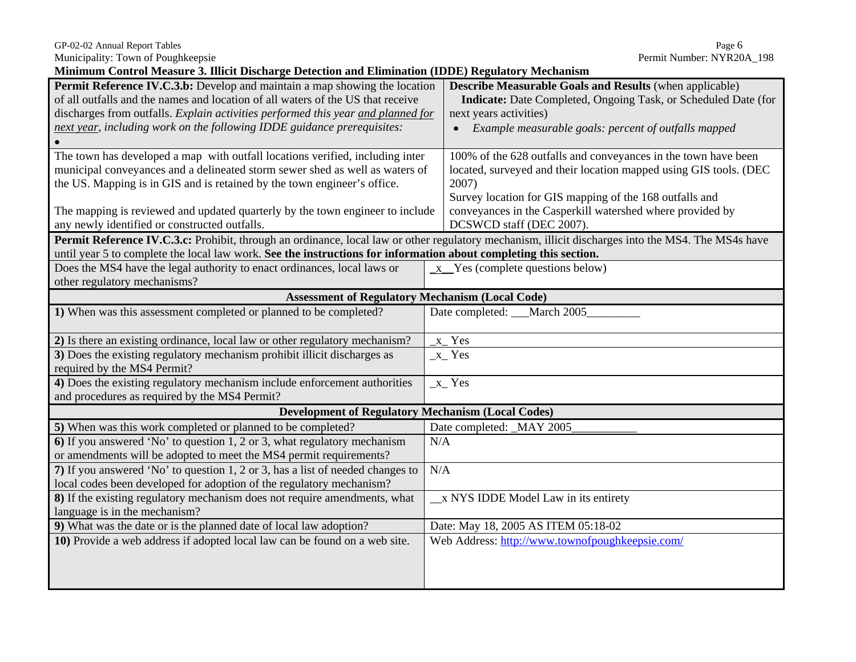Municipality: Town of Poughkeepsie Permit Number: NYR20A\_198

**Minimum Control Measure 3. Illicit Discharge Detection and Elimination (IDDE) Regulatory Mechanism** 

| Permit Reference IV.C.3.b: Develop and maintain a map showing the location<br>of all outfalls and the names and location of all waters of the US that receive | <b>Describe Measurable Goals and Results (when applicable)</b><br>Indicate: Date Completed, Ongoing Task, or Scheduled Date (for |  |
|---------------------------------------------------------------------------------------------------------------------------------------------------------------|----------------------------------------------------------------------------------------------------------------------------------|--|
| discharges from outfalls. Explain activities performed this year and planned for                                                                              | next years activities)                                                                                                           |  |
| next year, including work on the following IDDE guidance prerequisites:                                                                                       | • Example measurable goals: percent of outfalls mapped                                                                           |  |
|                                                                                                                                                               |                                                                                                                                  |  |
| The town has developed a map with outfall locations verified, including inter                                                                                 | 100% of the 628 outfalls and conveyances in the town have been                                                                   |  |
| municipal conveyances and a delineated storm sewer shed as well as waters of                                                                                  | located, surveyed and their location mapped using GIS tools. (DEC                                                                |  |
| the US. Mapping is in GIS and is retained by the town engineer's office.                                                                                      | 2007)                                                                                                                            |  |
|                                                                                                                                                               | Survey location for GIS mapping of the 168 outfalls and                                                                          |  |
| The mapping is reviewed and updated quarterly by the town engineer to include                                                                                 | conveyances in the Casperkill watershed where provided by                                                                        |  |
| any newly identified or constructed outfalls.                                                                                                                 | DCSWCD staff (DEC 2007).                                                                                                         |  |
| Permit Reference IV.C.3.c: Prohibit, through an ordinance, local law or other regulatory mechanism, illicit discharges into the MS4. The MS4s have            |                                                                                                                                  |  |
| until year 5 to complete the local law work. See the instructions for information about completing this section.                                              |                                                                                                                                  |  |
| Does the MS4 have the legal authority to enact ordinances, local laws or                                                                                      | $x$ Yes (complete questions below)                                                                                               |  |
| other regulatory mechanisms?                                                                                                                                  |                                                                                                                                  |  |
| <b>Assessment of Regulatory Mechanism (Local Code)</b>                                                                                                        |                                                                                                                                  |  |
| 1) When was this assessment completed or planned to be completed?                                                                                             | Date completed: March 2005                                                                                                       |  |
| 2) Is there an existing ordinance, local law or other regulatory mechanism?                                                                                   | $x$ <sup>Yes</sup>                                                                                                               |  |
| 3) Does the existing regulatory mechanism prohibit illicit discharges as                                                                                      | $x$ <sup><math>Y</math>es</sup>                                                                                                  |  |
| required by the MS4 Permit?                                                                                                                                   |                                                                                                                                  |  |
| 4) Does the existing regulatory mechanism include enforcement authorities                                                                                     | $_x$ Yes                                                                                                                         |  |
| and procedures as required by the MS4 Permit?                                                                                                                 |                                                                                                                                  |  |
| <b>Development of Regulatory Mechanism (Local Codes)</b>                                                                                                      |                                                                                                                                  |  |
| 5) When was this work completed or planned to be completed?                                                                                                   | Date completed: MAY 2005                                                                                                         |  |
| 6) If you answered 'No' to question 1, 2 or 3, what regulatory mechanism                                                                                      | N/A                                                                                                                              |  |
| or amendments will be adopted to meet the MS4 permit requirements?                                                                                            |                                                                                                                                  |  |
| 7) If you answered 'No' to question 1, 2 or 3, has a list of needed changes to                                                                                | N/A                                                                                                                              |  |
| local codes been developed for adoption of the regulatory mechanism?                                                                                          |                                                                                                                                  |  |
| 8) If the existing regulatory mechanism does not require amendments, what                                                                                     | x NYS IDDE Model Law in its entirety                                                                                             |  |
| language is in the mechanism?                                                                                                                                 |                                                                                                                                  |  |
| 9) What was the date or is the planned date of local law adoption?                                                                                            | Date: May 18, 2005 AS ITEM 05:18-02                                                                                              |  |
| 10) Provide a web address if adopted local law can be found on a web site.                                                                                    | Web Address: http://www.townofpoughkeepsie.com/                                                                                  |  |
|                                                                                                                                                               |                                                                                                                                  |  |
|                                                                                                                                                               |                                                                                                                                  |  |
|                                                                                                                                                               |                                                                                                                                  |  |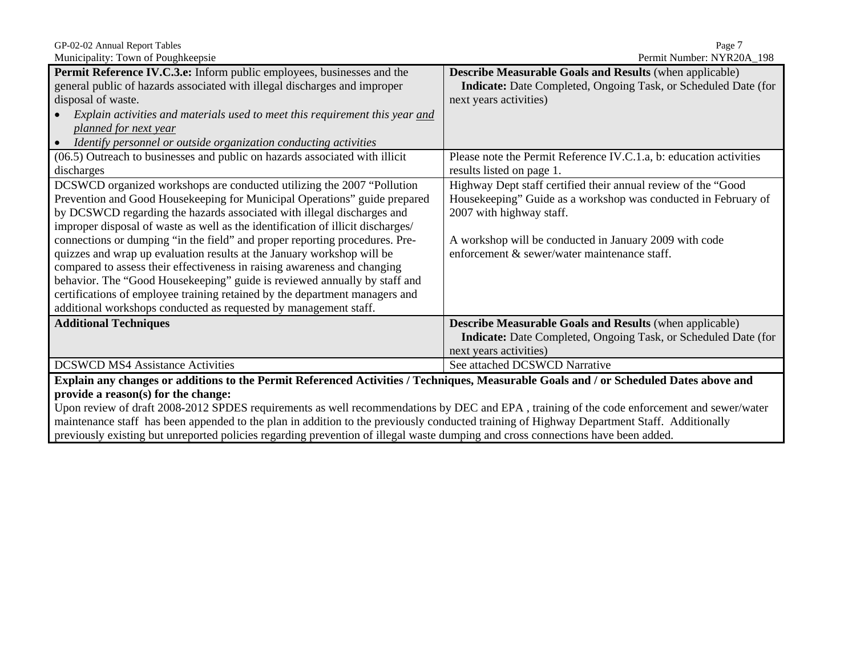Municipality: Town of Poughkeepsie

| <b>Mancipality.</b> TOWIL OF FOUGHNCOPSIN                                                                                              | $\sim$ 0.11111 1.101111001. TV 1.1020/1. T20                          |  |
|----------------------------------------------------------------------------------------------------------------------------------------|-----------------------------------------------------------------------|--|
| Permit Reference IV.C.3.e: Inform public employees, businesses and the                                                                 | <b>Describe Measurable Goals and Results (when applicable)</b>        |  |
| general public of hazards associated with illegal discharges and improper                                                              | Indicate: Date Completed, Ongoing Task, or Scheduled Date (for        |  |
| disposal of waste.                                                                                                                     | next years activities)                                                |  |
| Explain activities and materials used to meet this requirement this year and                                                           |                                                                       |  |
| planned for next year                                                                                                                  |                                                                       |  |
| Identify personnel or outside organization conducting activities                                                                       |                                                                       |  |
| (06.5) Outreach to businesses and public on hazards associated with illicit                                                            | Please note the Permit Reference IV.C.1.a, b: education activities    |  |
| discharges                                                                                                                             | results listed on page 1.                                             |  |
| DCSWCD organized workshops are conducted utilizing the 2007 "Pollution                                                                 | Highway Dept staff certified their annual review of the "Good         |  |
| Prevention and Good Housekeeping for Municipal Operations" guide prepared                                                              | Housekeeping" Guide as a workshop was conducted in February of        |  |
| by DCSWCD regarding the hazards associated with illegal discharges and                                                                 | 2007 with highway staff.                                              |  |
| improper disposal of waste as well as the identification of illicit discharges/                                                        |                                                                       |  |
| connections or dumping "in the field" and proper reporting procedures. Pre-                                                            | A workshop will be conducted in January 2009 with code                |  |
| quizzes and wrap up evaluation results at the January workshop will be                                                                 | enforcement & sewer/water maintenance staff.                          |  |
| compared to assess their effectiveness in raising awareness and changing                                                               |                                                                       |  |
| behavior. The "Good Housekeeping" guide is reviewed annually by staff and                                                              |                                                                       |  |
| certifications of employee training retained by the department managers and                                                            |                                                                       |  |
| additional workshops conducted as requested by management staff.                                                                       |                                                                       |  |
| <b>Additional Techniques</b>                                                                                                           | <b>Describe Measurable Goals and Results (when applicable)</b>        |  |
|                                                                                                                                        | <b>Indicate:</b> Date Completed, Ongoing Task, or Scheduled Date (for |  |
|                                                                                                                                        | next years activities)                                                |  |
| <b>DCSWCD MS4 Assistance Activities</b>                                                                                                | See attached DCSWCD Narrative                                         |  |
| Explain any changes or additions to the Permit Referenced Activities / Techniques, Measurable Goals and / or Scheduled Dates above and |                                                                       |  |
| provide a reason(s) for the change:                                                                                                    |                                                                       |  |
|                                                                                                                                        |                                                                       |  |

Upon review of draft 2008-2012 SPDES requirements as well recommendations by DEC and EPA , training of the code enforcement and sewer/water maintenance staff has been appended to the plan in addition to the previously conducted training of Highway Department Staff. Additionally previously existing but unreported policies regarding prevention of illegal waste dumping and cross connections have been added.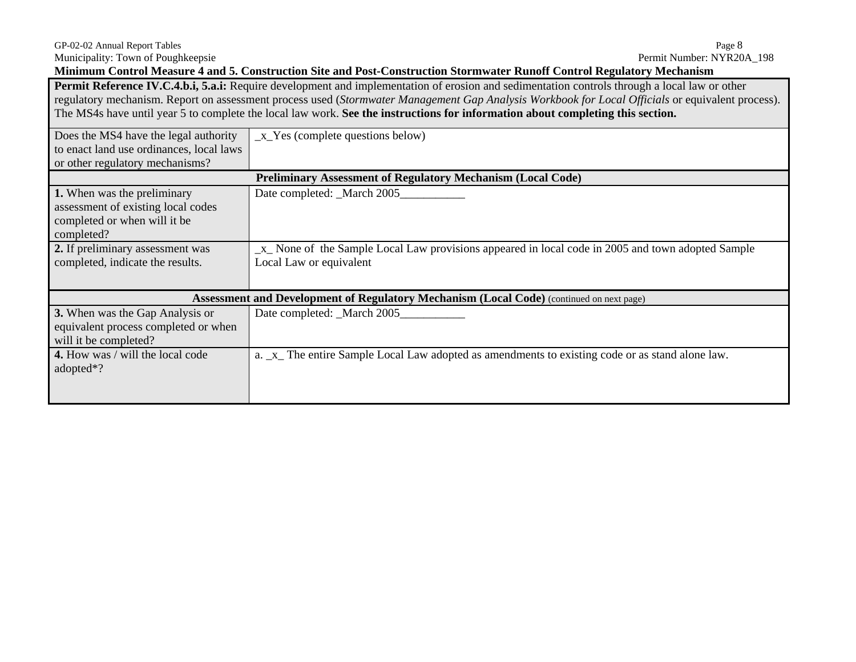**Minimum Control Measure 4 and 5. Construction Site and Post-Construction Stormwater Runoff Control Regulatory Mechanism** 

**Permit Reference IV.C.4.b.i, 5.a.i:** Require development and implementation of erosion and sedimentation controls through a local law or other regulatory mechanism. Report on assessment process used (*Stormwater Management Gap Analysis Workbook for Local Officials* or equivalent process). The MS4s have until year 5 to complete the local law work. **See the instructions for information about completing this section.** 

| Does the MS4 have the legal authority<br>to enact land use ordinances, local laws<br>or other regulatory mechanisms? | $_x$ Yes (complete questions below)                                                                                           |
|----------------------------------------------------------------------------------------------------------------------|-------------------------------------------------------------------------------------------------------------------------------|
|                                                                                                                      | <b>Preliminary Assessment of Regulatory Mechanism (Local Code)</b>                                                            |
| 1. When was the preliminary<br>assessment of existing local codes<br>completed or when will it be<br>completed?      | Date completed: _March 2005_                                                                                                  |
| 2. If preliminary assessment was<br>completed, indicate the results.                                                 | $x$ None of the Sample Local Law provisions appeared in local code in 2005 and town adopted Sample<br>Local Law or equivalent |
|                                                                                                                      | <b>Assessment and Development of Regulatory Mechanism (Local Code)</b> (continued on next page)                               |
| 3. When was the Gap Analysis or<br>equivalent process completed or when<br>will it be completed?                     | Date completed: _March 2005_                                                                                                  |
| 4. How was / will the local code<br>adopted $*$ ?                                                                    | a. _x_ The entire Sample Local Law adopted as amendments to existing code or as stand alone law.                              |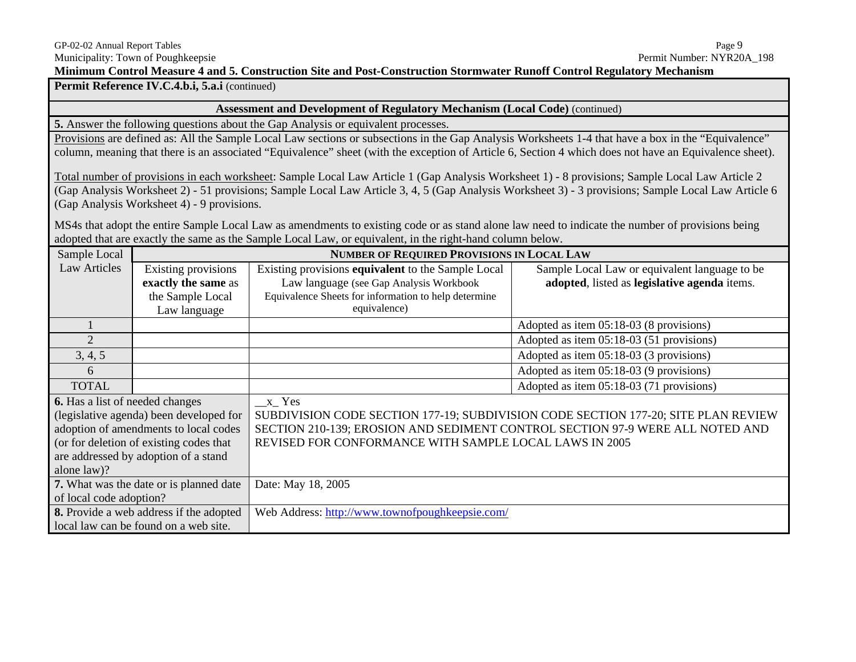Permit Reference IV.C.4.b.i, 5.a.i (continued)

#### **Assessment and Development of Regulatory Mechanism (Local Code)** (continued)

**5.** Answer the following questions about the Gap Analysis or equivalent processes.

Provisions are defined as: All the Sample Local Law sections or subsections in the Gap Analysis Worksheets 1-4 that have a box in the "Equivalence" column, meaning that there is an associated "Equivalence" sheet (with the exception of Article 6, Section 4 which does not have an Equivalence sheet).

Total number of provisions in each worksheet: Sample Local Law Article 1 (Gap Analysis Worksheet 1) - 8 provisions; Sample Local Law Article 2 (Gap Analysis Worksheet 2) - 51 provisions; Sample Local Law Article 3, 4, 5 (Gap Analysis Worksheet 3) - 3 provisions; Sample Local Law Article 6 (Gap Analysis Worksheet 4) - 9 provisions.

MS4s that adopt the entire Sample Local Law as amendments to existing code or as stand alone law need to indicate the number of provisions being adopted that are exactly the same as the Sample Local Law*,* or equivalent, in the right-hand column below.

| Sample Local                           |                                                | <b>NUMBER OF REQUIRED PROVISIONS IN LOCAL LAW</b>                                  |                                               |  |
|----------------------------------------|------------------------------------------------|------------------------------------------------------------------------------------|-----------------------------------------------|--|
| <b>Law Articles</b>                    | Existing provisions                            | Existing provisions equivalent to the Sample Local                                 | Sample Local Law or equivalent language to be |  |
|                                        | exactly the same as                            | Law language (see Gap Analysis Workbook                                            | adopted, listed as legislative agenda items.  |  |
|                                        | the Sample Local                               | Equivalence Sheets for information to help determine                               |                                               |  |
|                                        | Law language                                   | equivalence)                                                                       |                                               |  |
|                                        |                                                |                                                                                    | Adopted as item 05:18-03 (8 provisions)       |  |
| $\overline{2}$                         |                                                |                                                                                    | Adopted as item 05:18-03 (51 provisions)      |  |
| 3, 4, 5                                |                                                |                                                                                    | Adopted as item 05:18-03 (3 provisions)       |  |
| 6                                      |                                                |                                                                                    | Adopted as item 05:18-03 (9 provisions)       |  |
| <b>TOTAL</b>                           |                                                |                                                                                    | Adopted as item 05:18-03 (71 provisions)      |  |
| <b>6.</b> Has a list of needed changes |                                                | x Yes                                                                              |                                               |  |
|                                        | (legislative agenda) been developed for        | SUBDIVISION CODE SECTION 177-19; SUBDIVISION CODE SECTION 177-20; SITE PLAN REVIEW |                                               |  |
|                                        | adoption of amendments to local codes          | SECTION 210-139; EROSION AND SEDIMENT CONTROL SECTION 97-9 WERE ALL NOTED AND      |                                               |  |
|                                        | (or for deletion of existing codes that        | REVISED FOR CONFORMANCE WITH SAMPLE LOCAL LAWS IN 2005                             |                                               |  |
|                                        | are addressed by adoption of a stand           |                                                                                    |                                               |  |
| alone law)?                            |                                                |                                                                                    |                                               |  |
|                                        | 7. What was the date or is planned date        | Date: May 18, 2005                                                                 |                                               |  |
| of local code adoption?                |                                                |                                                                                    |                                               |  |
|                                        | <b>8.</b> Provide a web address if the adopted | Web Address: http://www.townofpoughkeepsie.com/                                    |                                               |  |
|                                        | local law can be found on a web site.          |                                                                                    |                                               |  |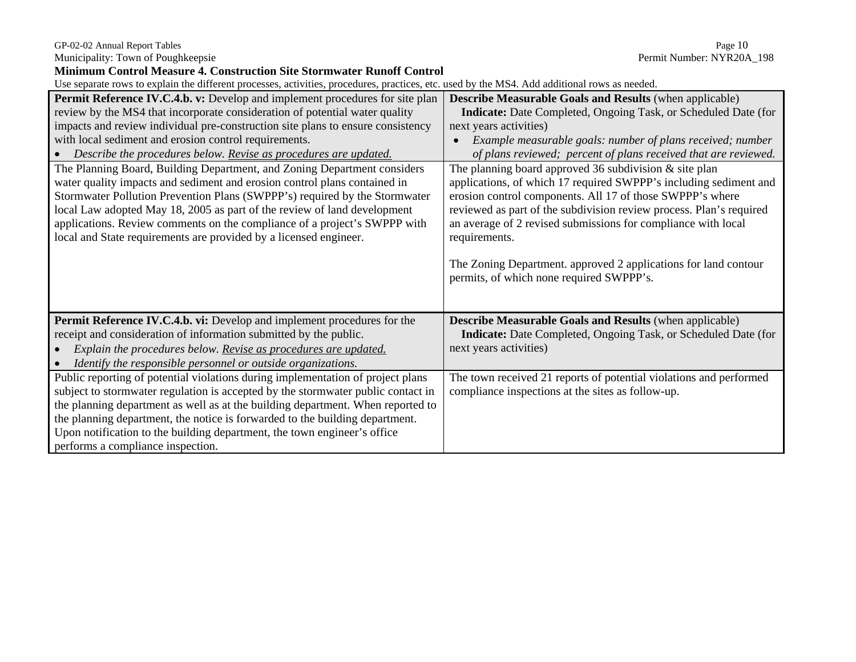Municipality: Town of Poughkeepsie

# GP-02-02 Annual Report Tables<br>
Municipality: Town of Poughkeepsie<br>
Municipality: Town of Poughkeepsie

| <b>Minimum Control Measure 4. Construction Site Stormwater Runoff Control</b>                                                                                                                                                                                                                                                                                                                                                                                                                                                                                                                                                                                                                                                                                                                                                                      |                                                                                                                                                                                                                                                                                                                                                                                                                                                                                                                                                                                                                                                                                                                                                                           |
|----------------------------------------------------------------------------------------------------------------------------------------------------------------------------------------------------------------------------------------------------------------------------------------------------------------------------------------------------------------------------------------------------------------------------------------------------------------------------------------------------------------------------------------------------------------------------------------------------------------------------------------------------------------------------------------------------------------------------------------------------------------------------------------------------------------------------------------------------|---------------------------------------------------------------------------------------------------------------------------------------------------------------------------------------------------------------------------------------------------------------------------------------------------------------------------------------------------------------------------------------------------------------------------------------------------------------------------------------------------------------------------------------------------------------------------------------------------------------------------------------------------------------------------------------------------------------------------------------------------------------------------|
| Use separate rows to explain the different processes, activities, procedures, practices, etc. used by the MS4. Add additional rows as needed.                                                                                                                                                                                                                                                                                                                                                                                                                                                                                                                                                                                                                                                                                                      |                                                                                                                                                                                                                                                                                                                                                                                                                                                                                                                                                                                                                                                                                                                                                                           |
| Permit Reference IV.C.4.b. v: Develop and implement procedures for site plan<br>review by the MS4 that incorporate consideration of potential water quality<br>impacts and review individual pre-construction site plans to ensure consistency<br>with local sediment and erosion control requirements.<br>• Describe the procedures below. Revise as procedures are updated.<br>The Planning Board, Building Department, and Zoning Department considers<br>water quality impacts and sediment and erosion control plans contained in<br>Stormwater Pollution Prevention Plans (SWPPP's) required by the Stormwater<br>local Law adopted May 18, 2005 as part of the review of land development<br>applications. Review comments on the compliance of a project's SWPPP with<br>local and State requirements are provided by a licensed engineer. | <b>Describe Measurable Goals and Results (when applicable)</b><br><b>Indicate:</b> Date Completed, Ongoing Task, or Scheduled Date (for<br>next years activities)<br>Example measurable goals: number of plans received; number<br>of plans reviewed; percent of plans received that are reviewed.<br>The planning board approved 36 subdivision $\&$ site plan<br>applications, of which 17 required SWPPP's including sediment and<br>erosion control components. All 17 of those SWPPP's where<br>reviewed as part of the subdivision review process. Plan's required<br>an average of 2 revised submissions for compliance with local<br>requirements.<br>The Zoning Department. approved 2 applications for land contour<br>permits, of which none required SWPPP's. |
| Permit Reference IV.C.4.b. vi: Develop and implement procedures for the<br>receipt and consideration of information submitted by the public.<br>Explain the procedures below. Revise as procedures are updated.<br>$\bullet$<br>Identify the responsible personnel or outside organizations.<br>$\bullet$                                                                                                                                                                                                                                                                                                                                                                                                                                                                                                                                          | <b>Describe Measurable Goals and Results (when applicable)</b><br><b>Indicate:</b> Date Completed, Ongoing Task, or Scheduled Date (for<br>next years activities)                                                                                                                                                                                                                                                                                                                                                                                                                                                                                                                                                                                                         |
| Public reporting of potential violations during implementation of project plans<br>subject to stormwater regulation is accepted by the stormwater public contact in<br>the planning department as well as at the building department. When reported to<br>the planning department, the notice is forwarded to the building department.<br>Upon notification to the building department, the town engineer's office<br>performs a compliance inspection.                                                                                                                                                                                                                                                                                                                                                                                            | The town received 21 reports of potential violations and performed<br>compliance inspections at the sites as follow-up.                                                                                                                                                                                                                                                                                                                                                                                                                                                                                                                                                                                                                                                   |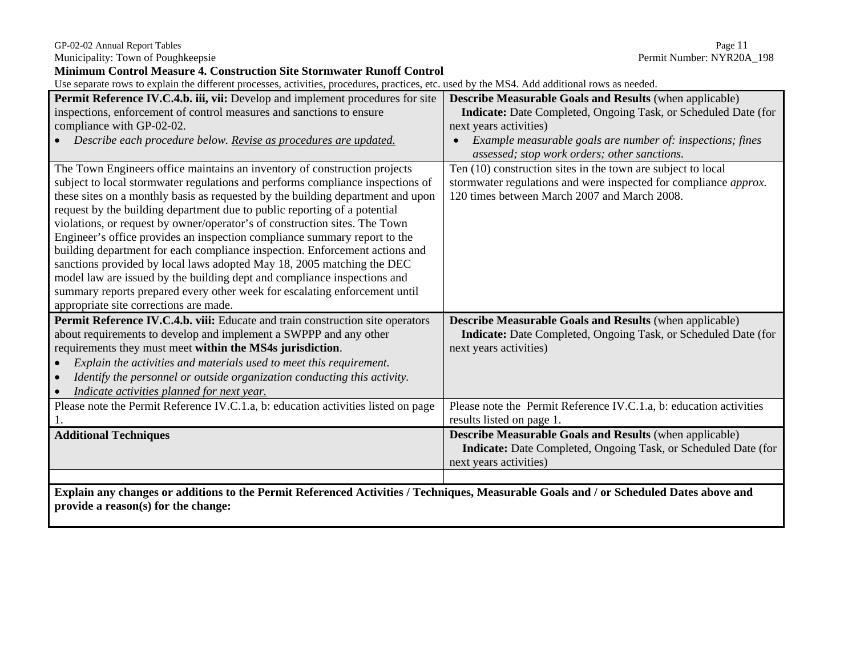Municipality: Town of Poughkeepsie Permit Number: NYR20A\_198

**Minimum Control Measure 4. Construction Site Stormwater Runoff Control**<br>Use separate rows to explain the different processes, activities, procedures, practices, etc. used by the MS4. Add additional rows as needed.

| Ose separate fows to explain the unferent processes, activities, procedures, practices, etc. used by the MS4. Add additional fows as needed. |                                                                       |  |  |  |  |
|----------------------------------------------------------------------------------------------------------------------------------------------|-----------------------------------------------------------------------|--|--|--|--|
| Permit Reference IV.C.4.b. iii, vii: Develop and implement procedures for site                                                               | <b>Describe Measurable Goals and Results (when applicable)</b>        |  |  |  |  |
| inspections, enforcement of control measures and sanctions to ensure                                                                         | Indicate: Date Completed, Ongoing Task, or Scheduled Date (for        |  |  |  |  |
| compliance with GP-02-02.                                                                                                                    | next years activities)                                                |  |  |  |  |
| Describe each procedure below. Revise as procedures are updated.                                                                             | Example measurable goals are number of: inspections; fines            |  |  |  |  |
|                                                                                                                                              | assessed; stop work orders; other sanctions.                          |  |  |  |  |
| The Town Engineers office maintains an inventory of construction projects                                                                    | Ten (10) construction sites in the town are subject to local          |  |  |  |  |
| subject to local stormwater regulations and performs compliance inspections of                                                               | stormwater regulations and were inspected for compliance approx.      |  |  |  |  |
| these sites on a monthly basis as requested by the building department and upon                                                              | 120 times between March 2007 and March 2008.                          |  |  |  |  |
| request by the building department due to public reporting of a potential                                                                    |                                                                       |  |  |  |  |
| violations, or request by owner/operator's of construction sites. The Town                                                                   |                                                                       |  |  |  |  |
| Engineer's office provides an inspection compliance summary report to the                                                                    |                                                                       |  |  |  |  |
| building department for each compliance inspection. Enforcement actions and                                                                  |                                                                       |  |  |  |  |
| sanctions provided by local laws adopted May 18, 2005 matching the DEC                                                                       |                                                                       |  |  |  |  |
| model law are issued by the building dept and compliance inspections and                                                                     |                                                                       |  |  |  |  |
| summary reports prepared every other week for escalating enforcement until                                                                   |                                                                       |  |  |  |  |
| appropriate site corrections are made.                                                                                                       |                                                                       |  |  |  |  |
| Permit Reference IV.C.4.b. viii: Educate and train construction site operators                                                               | <b>Describe Measurable Goals and Results</b> (when applicable)        |  |  |  |  |
| about requirements to develop and implement a SWPPP and any other                                                                            | <b>Indicate:</b> Date Completed, Ongoing Task, or Scheduled Date (for |  |  |  |  |
| requirements they must meet within the MS4s jurisdiction.                                                                                    | next years activities)                                                |  |  |  |  |
| Explain the activities and materials used to meet this requirement.                                                                          |                                                                       |  |  |  |  |
| Identify the personnel or outside organization conducting this activity.                                                                     |                                                                       |  |  |  |  |
| Indicate activities planned for next year.                                                                                                   |                                                                       |  |  |  |  |
| Please note the Permit Reference IV.C.1.a, b: education activities listed on page                                                            | Please note the Permit Reference IV.C.1.a, b: education activities    |  |  |  |  |
|                                                                                                                                              | results listed on page 1.                                             |  |  |  |  |
| <b>Additional Techniques</b>                                                                                                                 | <b>Describe Measurable Goals and Results (when applicable)</b>        |  |  |  |  |
|                                                                                                                                              | <b>Indicate:</b> Date Completed, Ongoing Task, or Scheduled Date (for |  |  |  |  |
|                                                                                                                                              | next years activities)                                                |  |  |  |  |
|                                                                                                                                              |                                                                       |  |  |  |  |
| Explain any changes or additions to the Permit Referenced Activities / Techniques, Measurable Goals and / or Scheduled Dates above and       |                                                                       |  |  |  |  |
| provide a reason(s) for the change:                                                                                                          |                                                                       |  |  |  |  |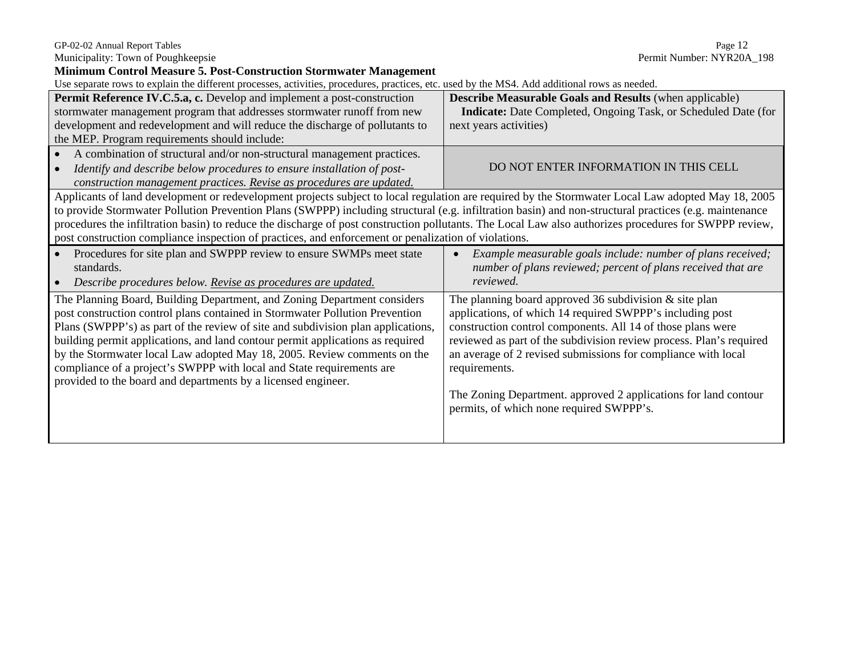#### Municipality: Town of Poughkeepsie examples and the example of the example of Permit Number: NYR20A\_198 **Minimum Control Measure 5. Post-Construction Stormwater Management** Use separate rows to explain the different processes, activities, procedures, practices, etc. used by the MS4. Add additional rows as needed. **Permit Reference IV.C.5.a, c.** Develop and implement a post-construction stormwater management program that addresses stormwater runoff from new development and redevelopment and will reduce the discharge of pollutants to the MEP. Program requirements should include: **Describe Measurable Goals and Results** (when applicable)  **Indicate:** Date Completed, Ongoing Task, or Scheduled Date (for next years activities) • A combination of structural and/or non-structural management practices. • *Identify and describe below procedures to ensure installation of post-Identify and describe below procedures to ensure installation of post*<br>construction management practices. Revise as procedures are updated. Applicants of land development or redevelopment projects subject to local regulation are required by the Stormwater Local Law adopted May 18, 2005 to provide Stormwater Pollution Prevention Plans (SWPPP) including structural (e.g. infiltration basin) and non-structural practices (e.g. maintenance procedures the infiltration basin) to reduce the discharge of post construction pollutants. The Local Law also authorizes procedures for SWPPP review, post construction compliance inspection of practices, and enforcement or penalization of violations. • Procedures for site plan and SWPPP review to ensure SWMPs meet state standards. • *Describe procedures below. Revise as procedures are updated.* • *Example measurable goals include: number of plans received; number of plans reviewed; percent of plans received that are reviewed.*The Planning Board, Building Department, and Zoning Department considers post construction control plans contained in Stormwater Pollution Prevention Plans (SWPPP's) as part of the review of site and subdivision plan applications, building permit applications, and land contour permit applications as required by the Stormwater local Law adopted May 18, 2005. Review comments on the compliance of a project's SWPPP with local and State requirements are provided to the board and departments by a licensed engineer. The planning board approved 36 subdivision  $&$  site plan applications, of which 14 required SWPPP's including post construction control components. All 14 of those plans were reviewed as part of the subdivision review process. Plan's required an average of 2 revised submissions for compliance with local requirements. The Zoning Department. approved 2 applications for land contour permits, of which none required SWPPP's.

GP-02-02 Annual Report Tables Page 12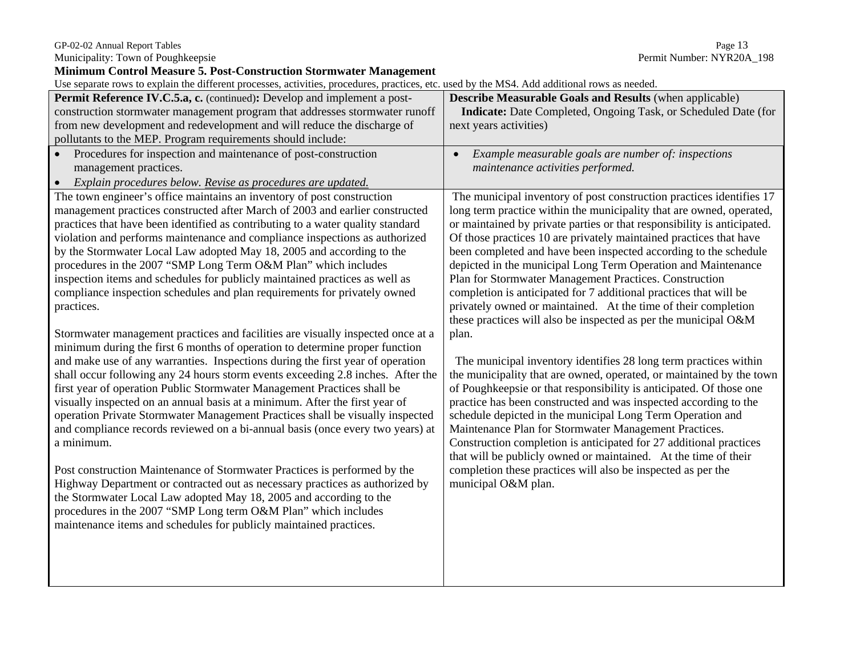#### GP-02-02 Annual Report Tables Page 13

Municipality: Town of Poughkeepsie Permit Number: NYR20A\_198

**Minimum Control Measure 5. Post-Construction Stormwater Management** 

Use separate rows to explain the different processes, activities, procedures, practices, etc. used by the MS4. Add additional rows as needed.

| Use separate rows to explain the different processes, activities, procedures, practices, etc. used by the MS4. Add additional rows as needed. |                                                                         |
|-----------------------------------------------------------------------------------------------------------------------------------------------|-------------------------------------------------------------------------|
| Permit Reference IV.C.5.a, c. (continued): Develop and implement a post-                                                                      | <b>Describe Measurable Goals and Results (when applicable)</b>          |
| construction stormwater management program that addresses stormwater runoff                                                                   | Indicate: Date Completed, Ongoing Task, or Scheduled Date (for          |
| from new development and redevelopment and will reduce the discharge of                                                                       | next years activities)                                                  |
| pollutants to the MEP. Program requirements should include:                                                                                   |                                                                         |
| Procedures for inspection and maintenance of post-construction<br>$\bullet$                                                                   | Example measurable goals are number of: inspections                     |
| management practices.                                                                                                                         | maintenance activities performed.                                       |
| Explain procedures below. Revise as procedures are updated.<br>$\bullet$                                                                      |                                                                         |
| The town engineer's office maintains an inventory of post construction                                                                        | The municipal inventory of post construction practices identifies 17    |
| management practices constructed after March of 2003 and earlier constructed                                                                  | long term practice within the municipality that are owned, operated,    |
| practices that have been identified as contributing to a water quality standard                                                               | or maintained by private parties or that responsibility is anticipated. |
| violation and performs maintenance and compliance inspections as authorized                                                                   | Of those practices 10 are privately maintained practices that have      |
| by the Stormwater Local Law adopted May 18, 2005 and according to the                                                                         | been completed and have been inspected according to the schedule        |
| procedures in the 2007 "SMP Long Term O&M Plan" which includes                                                                                | depicted in the municipal Long Term Operation and Maintenance           |
| inspection items and schedules for publicly maintained practices as well as                                                                   | Plan for Stormwater Management Practices. Construction                  |
| compliance inspection schedules and plan requirements for privately owned                                                                     | completion is anticipated for 7 additional practices that will be       |
| practices.                                                                                                                                    | privately owned or maintained. At the time of their completion          |
|                                                                                                                                               | these practices will also be inspected as per the municipal O&M         |
| Stormwater management practices and facilities are visually inspected once at a                                                               | plan.                                                                   |
| minimum during the first 6 months of operation to determine proper function                                                                   |                                                                         |
| and make use of any warranties. Inspections during the first year of operation                                                                | The municipal inventory identifies 28 long term practices within        |
| shall occur following any 24 hours storm events exceeding 2.8 inches. After the                                                               | the municipality that are owned, operated, or maintained by the town    |
| first year of operation Public Stormwater Management Practices shall be                                                                       | of Poughkeepsie or that responsibility is anticipated. Of those one     |
| visually inspected on an annual basis at a minimum. After the first year of                                                                   | practice has been constructed and was inspected according to the        |
| operation Private Stormwater Management Practices shall be visually inspected                                                                 | schedule depicted in the municipal Long Term Operation and              |
| and compliance records reviewed on a bi-annual basis (once every two years) at                                                                | Maintenance Plan for Stormwater Management Practices.                   |
| a minimum.                                                                                                                                    | Construction completion is anticipated for 27 additional practices      |
|                                                                                                                                               | that will be publicly owned or maintained. At the time of their         |
| Post construction Maintenance of Stormwater Practices is performed by the                                                                     | completion these practices will also be inspected as per the            |
| Highway Department or contracted out as necessary practices as authorized by                                                                  | municipal O&M plan.                                                     |
| the Stormwater Local Law adopted May 18, 2005 and according to the<br>procedures in the 2007 "SMP Long term O&M Plan" which includes          |                                                                         |
|                                                                                                                                               |                                                                         |
| maintenance items and schedules for publicly maintained practices.                                                                            |                                                                         |
|                                                                                                                                               |                                                                         |
|                                                                                                                                               |                                                                         |
|                                                                                                                                               |                                                                         |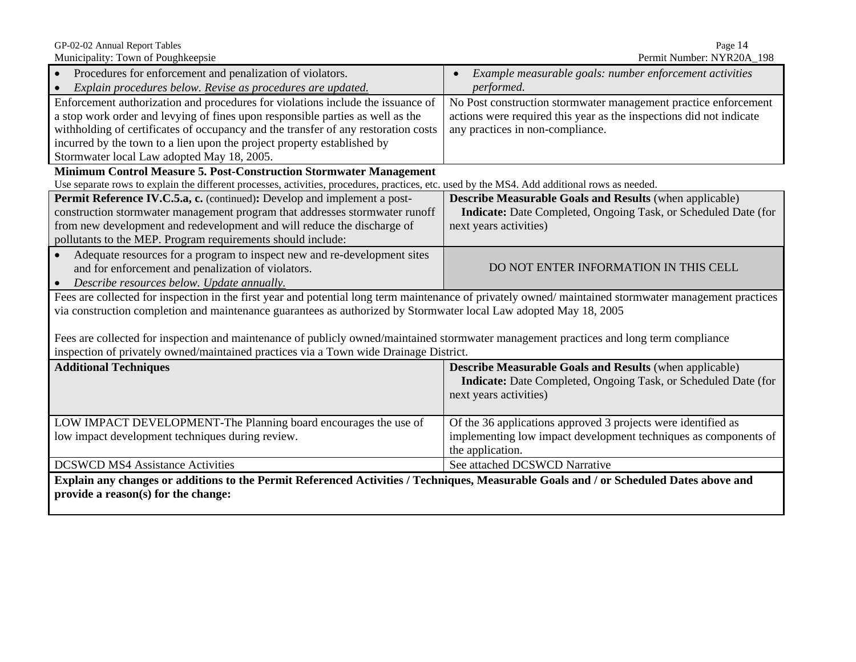Municipality: Town of Poughkeepsie

GP-02-02 Annual Report Tables<br>
Municipality: Town of Poughkeepsie<br>
Municipality: Town of Poughkeepsie

| Procedures for enforcement and penalization of violators.                                                                                             | Example measurable goals: number enforcement activities               |  |  |  |  |
|-------------------------------------------------------------------------------------------------------------------------------------------------------|-----------------------------------------------------------------------|--|--|--|--|
| Explain procedures below. Revise as procedures are updated.                                                                                           | performed.                                                            |  |  |  |  |
| Enforcement authorization and procedures for violations include the issuance of                                                                       | No Post construction stormwater management practice enforcement       |  |  |  |  |
| a stop work order and levying of fines upon responsible parties as well as the                                                                        | actions were required this year as the inspections did not indicate   |  |  |  |  |
| withholding of certificates of occupancy and the transfer of any restoration costs                                                                    | any practices in non-compliance.                                      |  |  |  |  |
| incurred by the town to a lien upon the project property established by                                                                               |                                                                       |  |  |  |  |
| Stormwater local Law adopted May 18, 2005.                                                                                                            |                                                                       |  |  |  |  |
| Minimum Control Measure 5. Post-Construction Stormwater Management                                                                                    |                                                                       |  |  |  |  |
| Use separate rows to explain the different processes, activities, procedures, practices, etc. used by the MS4. Add additional rows as needed.         |                                                                       |  |  |  |  |
| Permit Reference IV.C.5.a, c. (continued): Develop and implement a post-<br><b>Describe Measurable Goals and Results (when applicable)</b>            |                                                                       |  |  |  |  |
| construction stormwater management program that addresses stormwater runoff                                                                           | <b>Indicate:</b> Date Completed, Ongoing Task, or Scheduled Date (for |  |  |  |  |
| from new development and redevelopment and will reduce the discharge of                                                                               | next years activities)                                                |  |  |  |  |
| pollutants to the MEP. Program requirements should include:                                                                                           |                                                                       |  |  |  |  |
| Adequate resources for a program to inspect new and re-development sites                                                                              |                                                                       |  |  |  |  |
| and for enforcement and penalization of violators.                                                                                                    | DO NOT ENTER INFORMATION IN THIS CELL                                 |  |  |  |  |
| Describe resources below. Update annually.                                                                                                            |                                                                       |  |  |  |  |
| Fees are collected for inspection in the first year and potential long term maintenance of privately owned/maintained stormwater management practices |                                                                       |  |  |  |  |
| via construction completion and maintenance guarantees as authorized by Stormwater local Law adopted May 18, 2005                                     |                                                                       |  |  |  |  |
|                                                                                                                                                       |                                                                       |  |  |  |  |
| Fees are collected for inspection and maintenance of publicly owned/maintained stormwater management practices and long term compliance               |                                                                       |  |  |  |  |
| inspection of privately owned/maintained practices via a Town wide Drainage District.                                                                 |                                                                       |  |  |  |  |
| <b>Additional Techniques</b>                                                                                                                          | <b>Describe Measurable Goals and Results (when applicable)</b>        |  |  |  |  |
|                                                                                                                                                       | <b>Indicate:</b> Date Completed, Ongoing Task, or Scheduled Date (for |  |  |  |  |
|                                                                                                                                                       | next years activities)                                                |  |  |  |  |
|                                                                                                                                                       |                                                                       |  |  |  |  |
| LOW IMPACT DEVELOPMENT-The Planning board encourages the use of                                                                                       | Of the 36 applications approved 3 projects were identified as         |  |  |  |  |
| low impact development techniques during review.                                                                                                      | implementing low impact development techniques as components of       |  |  |  |  |
|                                                                                                                                                       | the application.                                                      |  |  |  |  |
| <b>DCSWCD MS4 Assistance Activities</b>                                                                                                               | See attached DCSWCD Narrative                                         |  |  |  |  |
| Explain any changes or additions to the Permit Referenced Activities / Techniques, Measurable Goals and / or Scheduled Dates above and                |                                                                       |  |  |  |  |
| provide a reason(s) for the change:                                                                                                                   |                                                                       |  |  |  |  |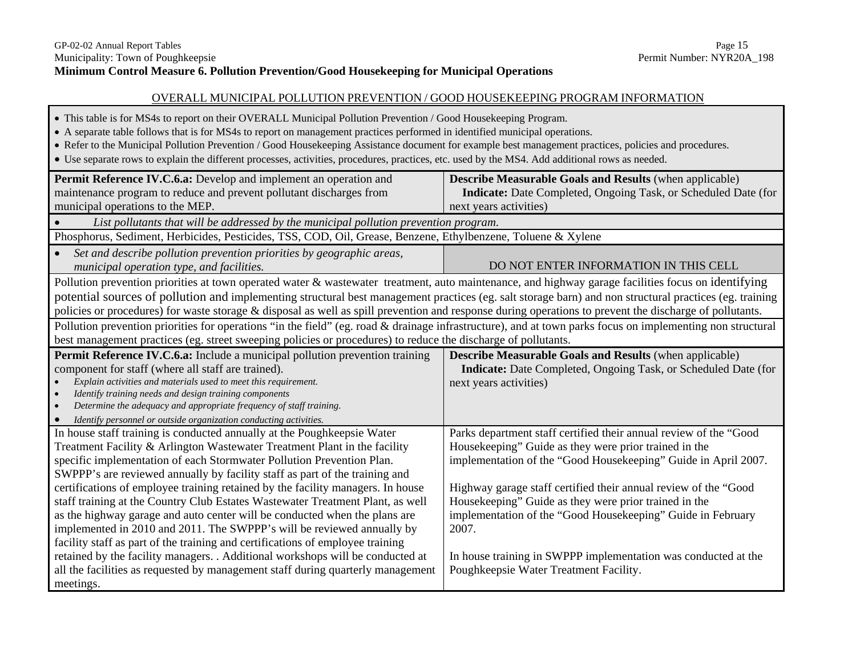#### OVERALL MUNICIPAL POLLUTION PREVENTION / GOOD HOUSEKEEPING PROGRAM INFORMATION

- This table is for MS4s to report on their OVERALL Municipal Pollution Prevention / Good Housekeeping Program.
- A separate table follows that is for MS4s to report on management practices performed in identified municipal operations.
- Refer to the Municipal Pollution Prevention / Good Housekeeping Assistance document for example best management practices, policies and procedures.
- Use separate rows to explain the different processes, activities, procedures, practices, etc. used by the MS4. Add additional rows as needed.

| Permit Reference IV.C.6.a: Develop and implement an operation and                                                                                          | <b>Describe Measurable Goals and Results (when applicable)</b>        |  |  |  |
|------------------------------------------------------------------------------------------------------------------------------------------------------------|-----------------------------------------------------------------------|--|--|--|
| maintenance program to reduce and prevent pollutant discharges from                                                                                        | <b>Indicate:</b> Date Completed, Ongoing Task, or Scheduled Date (for |  |  |  |
| municipal operations to the MEP.                                                                                                                           | next years activities)                                                |  |  |  |
| List pollutants that will be addressed by the municipal pollution prevention program.                                                                      |                                                                       |  |  |  |
| Phosphorus, Sediment, Herbicides, Pesticides, TSS, COD, Oil, Grease, Benzene, Ethylbenzene, Toluene & Xylene                                               |                                                                       |  |  |  |
| Set and describe pollution prevention priorities by geographic areas,                                                                                      |                                                                       |  |  |  |
| municipal operation type, and facilities.                                                                                                                  | DO NOT ENTER INFORMATION IN THIS CELL                                 |  |  |  |
| Pollution prevention priorities at town operated water & wastewater treatment, auto maintenance, and highway garage facilities focus on identifying        |                                                                       |  |  |  |
| potential sources of pollution and implementing structural best management practices (eg. salt storage barn) and non structural practices (eg. training    |                                                                       |  |  |  |
| policies or procedures) for waste storage & disposal as well as spill prevention and response during operations to prevent the discharge of pollutants.    |                                                                       |  |  |  |
| Pollution prevention priorities for operations "in the field" (eg. road & drainage infrastructure), and at town parks focus on implementing non structural |                                                                       |  |  |  |
| best management practices (eg. street sweeping policies or procedures) to reduce the discharge of pollutants.                                              |                                                                       |  |  |  |
| Permit Reference IV.C.6.a: Include a municipal pollution prevention training                                                                               | <b>Describe Measurable Goals and Results (when applicable)</b>        |  |  |  |
| component for staff (where all staff are trained).                                                                                                         | Indicate: Date Completed, Ongoing Task, or Scheduled Date (for        |  |  |  |
| Explain activities and materials used to meet this requirement.                                                                                            | next years activities)                                                |  |  |  |
| Identify training needs and design training components<br>Determine the adequacy and appropriate frequency of staff training.                              |                                                                       |  |  |  |
| Identify personnel or outside organization conducting activities.                                                                                          |                                                                       |  |  |  |
| In house staff training is conducted annually at the Poughkeepsie Water                                                                                    | Parks department staff certified their annual review of the "Good     |  |  |  |
| Treatment Facility & Arlington Wastewater Treatment Plant in the facility                                                                                  | Housekeeping" Guide as they were prior trained in the                 |  |  |  |
| specific implementation of each Stormwater Pollution Prevention Plan.                                                                                      | implementation of the "Good Housekeeping" Guide in April 2007.        |  |  |  |
| SWPPP's are reviewed annually by facility staff as part of the training and                                                                                |                                                                       |  |  |  |
| certifications of employee training retained by the facility managers. In house                                                                            | Highway garage staff certified their annual review of the "Good       |  |  |  |
| staff training at the Country Club Estates Wastewater Treatment Plant, as well                                                                             | Housekeeping" Guide as they were prior trained in the                 |  |  |  |
| as the highway garage and auto center will be conducted when the plans are                                                                                 | implementation of the "Good Housekeeping" Guide in February           |  |  |  |
| implemented in 2010 and 2011. The SWPPP's will be reviewed annually by                                                                                     | 2007.                                                                 |  |  |  |
| facility staff as part of the training and certifications of employee training                                                                             |                                                                       |  |  |  |
| retained by the facility managers. . Additional workshops will be conducted at                                                                             | In house training in SWPPP implementation was conducted at the        |  |  |  |
| all the facilities as requested by management staff during quarterly management                                                                            | Poughkeepsie Water Treatment Facility.                                |  |  |  |
| meetings.                                                                                                                                                  |                                                                       |  |  |  |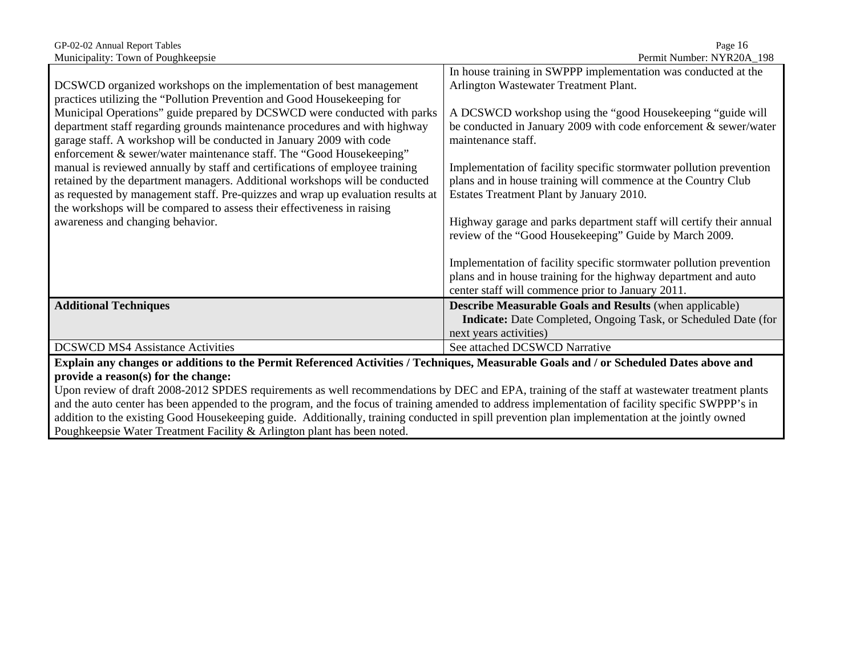| GP-02-02 Annual Report Tables<br>Municipality: Town of Poughkeepsie                                                                                                                                                                                                                                                                                                                            | Page 16<br>Permit Number: NYR20A_198                                                                                                                                                                                                      |
|------------------------------------------------------------------------------------------------------------------------------------------------------------------------------------------------------------------------------------------------------------------------------------------------------------------------------------------------------------------------------------------------|-------------------------------------------------------------------------------------------------------------------------------------------------------------------------------------------------------------------------------------------|
| DCSWCD organized workshops on the implementation of best management<br>practices utilizing the "Pollution Prevention and Good Housekeeping for<br>Municipal Operations" guide prepared by DCSWCD were conducted with parks<br>department staff regarding grounds maintenance procedures and with highway                                                                                       | In house training in SWPPP implementation was conducted at the<br>Arlington Wastewater Treatment Plant.<br>A DCSWCD workshop using the "good Housekeeping "guide will<br>be conducted in January 2009 with code enforcement & sewer/water |
| garage staff. A workshop will be conducted in January 2009 with code<br>enforcement & sewer/water maintenance staff. The "Good Housekeeping"<br>manual is reviewed annually by staff and certifications of employee training<br>retained by the department managers. Additional workshops will be conducted<br>as requested by management staff. Pre-quizzes and wrap up evaluation results at | maintenance staff.<br>Implementation of facility specific stormwater pollution prevention<br>plans and in house training will commence at the Country Club<br>Estates Treatment Plant by January 2010.                                    |
| the workshops will be compared to assess their effectiveness in raising<br>awareness and changing behavior.                                                                                                                                                                                                                                                                                    | Highway garage and parks department staff will certify their annual<br>review of the "Good Housekeeping" Guide by March 2009.                                                                                                             |
|                                                                                                                                                                                                                                                                                                                                                                                                | Implementation of facility specific stormwater pollution prevention<br>plans and in house training for the highway department and auto<br>center staff will commence prior to January 2011.                                               |
| <b>Additional Techniques</b>                                                                                                                                                                                                                                                                                                                                                                   | <b>Describe Measurable Goals and Results (when applicable)</b><br><b>Indicate:</b> Date Completed, Ongoing Task, or Scheduled Date (for<br>next years activities)                                                                         |
| <b>DCSWCD MS4 Assistance Activities</b>                                                                                                                                                                                                                                                                                                                                                        | See attached DCSWCD Narrative                                                                                                                                                                                                             |
| Explain any changes or additions to the Permit Referenced Activities / Techniques, Measurable Goals and / or Scheduled Dates above and<br>provide a reason(s) for the change:                                                                                                                                                                                                                  |                                                                                                                                                                                                                                           |

Upon review of draft 2008-2012 SPDES requirements as well recommendations by DEC and EPA, training of the staff at wastewater treatment plants and the auto center has been appended to the program, and the focus of training amended to address implementation of facility specific SWPPP's in addition to the existing Good Housekeeping guide. Additionally, training conducted in spill prevention plan implementation at the jointly owned Poughkeepsie Water Treatment Facility & Arlington plant has been noted.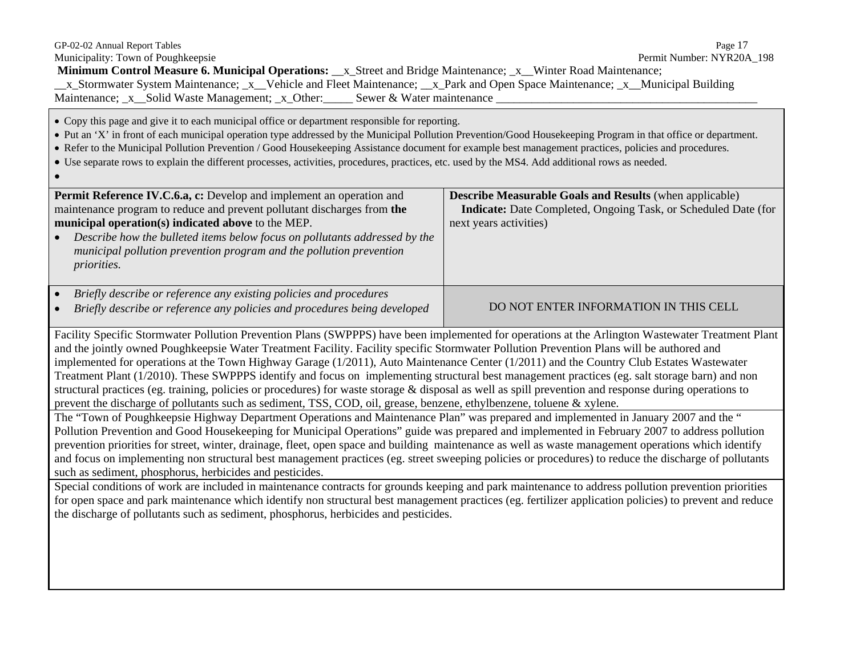| GP-02-02 Annual Report Tables<br>Municipality: Town of Poughkeepsie<br>Minimum Control Measure 6. Municipal Operations: _x_Street and Bridge Maintenance; _x_Winter Road Maintenance;<br>_x_Stormwater System Maintenance; _x_Vehicle and Fleet Maintenance; __x_Park and Open Space Maintenance; _x_Municipal Building<br>Maintenance; _x__Solid Waste Management; _x_Other: ______ Sewer & Water maintenance _                                                                                                                                                                                                                                                                                                                                                                                                                                                                | Page 17<br>Permit Number: NYR20A_198                                                                                                                              |  |  |  |
|---------------------------------------------------------------------------------------------------------------------------------------------------------------------------------------------------------------------------------------------------------------------------------------------------------------------------------------------------------------------------------------------------------------------------------------------------------------------------------------------------------------------------------------------------------------------------------------------------------------------------------------------------------------------------------------------------------------------------------------------------------------------------------------------------------------------------------------------------------------------------------|-------------------------------------------------------------------------------------------------------------------------------------------------------------------|--|--|--|
| • Copy this page and give it to each municipal office or department responsible for reporting.<br>• Put an 'X' in front of each municipal operation type addressed by the Municipal Pollution Prevention/Good Housekeeping Program in that office or department.<br>• Refer to the Municipal Pollution Prevention / Good Housekeeping Assistance document for example best management practices, policies and procedures.<br>• Use separate rows to explain the different processes, activities, procedures, practices, etc. used by the MS4. Add additional rows as needed.                                                                                                                                                                                                                                                                                                    |                                                                                                                                                                   |  |  |  |
| Permit Reference IV.C.6.a, c: Develop and implement an operation and<br>maintenance program to reduce and prevent pollutant discharges from the<br>municipal operation(s) indicated above to the MEP.<br>Describe how the bulleted items below focus on pollutants addressed by the<br>municipal pollution prevention program and the pollution prevention<br><i>priorities.</i>                                                                                                                                                                                                                                                                                                                                                                                                                                                                                                | <b>Describe Measurable Goals and Results (when applicable)</b><br><b>Indicate:</b> Date Completed, Ongoing Task, or Scheduled Date (for<br>next years activities) |  |  |  |
| Briefly describe or reference any existing policies and procedures<br>Briefly describe or reference any policies and procedures being developed                                                                                                                                                                                                                                                                                                                                                                                                                                                                                                                                                                                                                                                                                                                                 | DO NOT ENTER INFORMATION IN THIS CELL                                                                                                                             |  |  |  |
| Facility Specific Stormwater Pollution Prevention Plans (SWPPPS) have been implemented for operations at the Arlington Wastewater Treatment Plant<br>and the jointly owned Poughkeepsie Water Treatment Facility. Facility specific Stormwater Pollution Prevention Plans will be authored and<br>implemented for operations at the Town Highway Garage (1/2011), Auto Maintenance Center (1/2011) and the Country Club Estates Wastewater<br>Treatment Plant (1/2010). These SWPPPS identify and focus on implementing structural best management practices (eg. salt storage barn) and non<br>structural practices (eg. training, policies or procedures) for waste storage & disposal as well as spill prevention and response during operations to<br>prevent the discharge of pollutants such as sediment, TSS, COD, oil, grease, benzene, ethylbenzene, toluene & xylene. |                                                                                                                                                                   |  |  |  |
| The "Town of Poughkeepsie Highway Department Operations and Maintenance Plan" was prepared and implemented in January 2007 and the "<br>Pollution Prevention and Good Housekeeping for Municipal Operations" guide was prepared and implemented in February 2007 to address pollution<br>prevention priorities for street, winter, drainage, fleet, open space and building maintenance as well as waste management operations which identify<br>and focus on implementing non structural best management practices (eg. street sweeping policies or procedures) to reduce the discharge of pollutants<br>such as sediment, phosphorus, herbicides and pesticides.                                                                                                                                                                                                              |                                                                                                                                                                   |  |  |  |
| Special conditions of work are included in maintenance contracts for grounds keeping and park maintenance to address pollution prevention priorities<br>for open space and park maintenance which identify non structural best management practices (eg. fertilizer application policies) to prevent and reduce<br>the discharge of pollutants such as sediment, phosphorus, herbicides and pesticides.                                                                                                                                                                                                                                                                                                                                                                                                                                                                         |                                                                                                                                                                   |  |  |  |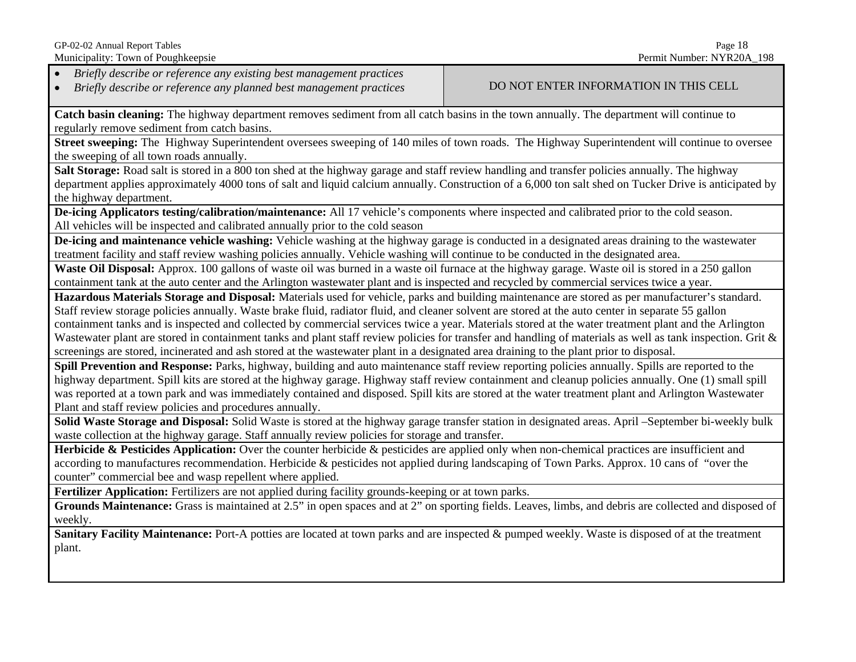GP-02-02 Annual Report Tables Page 18

•*Briefly describe or reference any existing best management practices*

•*Briefly describe or reference any planned best management practices* DO NOT ENTER INFORMATION IN THIS CELL

**Catch basin cleaning:** The highway department removes sediment from all catch basins in the town annually. The department will continue to regularly remove sediment from catch basins.

**Street sweeping:** The Highway Superintendent oversees sweeping of 140 miles of town roads. The Highway Superintendent will continue to oversee the sweeping of all town roads annually.

**Salt Storage:** Road salt is stored in a 800 ton shed at the highway garage and staff review handling and transfer policies annually. The highway department applies approximately 4000 tons of salt and liquid calcium annually. Construction of a 6,000 ton salt shed on Tucker Drive is anticipated by the highway department.

**De-icing Applicators testing/calibration/maintenance:** All 17 vehicle's components where inspected and calibrated prior to the cold season. All vehicles will be inspected and calibrated annually prior to the cold season

**De-icing and maintenance vehicle washing:** Vehicle washing at the highway garage is conducted in a designated areas draining to the wastewater treatment facility and staff review washing policies annually. Vehicle washing will continue to be conducted in the designated area.

Waste Oil Disposal: Approx. 100 gallons of waste oil was burned in a waste oil furnace at the highway garage. Waste oil is stored in a 250 gallon containment tank at the auto center and the Arlington wastewater plant and is inspected and recycled by commercial services twice a year.

**Hazardous Materials Storage and Disposal:** Materials used for vehicle, parks and building maintenance are stored as per manufacturer's standard. Staff review storage policies annually. Waste brake fluid, radiator fluid, and cleaner solvent are stored at the auto center in separate 55 gallon containment tanks and is inspected and collected by commercial services twice a year. Materials stored at the water treatment plant and the Arlington Wastewater plant are stored in containment tanks and plant staff review policies for transfer and handling of materials as well as tank inspection. Grit & screenings are stored, incinerated and ash stored at the wastewater plant in a designated area draining to the plant prior to disposal.

**Spill Prevention and Response:** Parks, highway, building and auto maintenance staff review reporting policies annually. Spills are reported to the highway department. Spill kits are stored at the highway garage. Highway staff review containment and cleanup policies annually. One (1) small spill was reported at a town park and was immediately contained and disposed. Spill kits are stored at the water treatment plant and Arlington Wastewater Plant and staff review policies and procedures annually.

**Solid Waste Storage and Disposal:** Solid Waste is stored at the highway garage transfer station in designated areas. April –September bi-weekly bulk waste collection at the highway garage. Staff annually review policies for storage and transfer.

Herbicide & Pesticides Application: Over the counter herbicide & pesticides are applied only when non-chemical practices are insufficient and according to manufactures recommendation. Herbicide & pesticides not applied during landscaping of Town Parks. Approx. 10 cans of "over the counter" commercial bee and wasp repellent where applied.

**Fertilizer Application:** Fertilizers are not applied during facility grounds-keeping or at town parks.

**Grounds Maintenance:** Grass is maintained at 2.5" in open spaces and at 2" on sporting fields. Leaves, limbs, and debris are collected and disposed of weekly.

**Sanitary Facility Maintenance:** Port-A potties are located at town parks and are inspected & pumped weekly. Waste is disposed of at the treatment plant.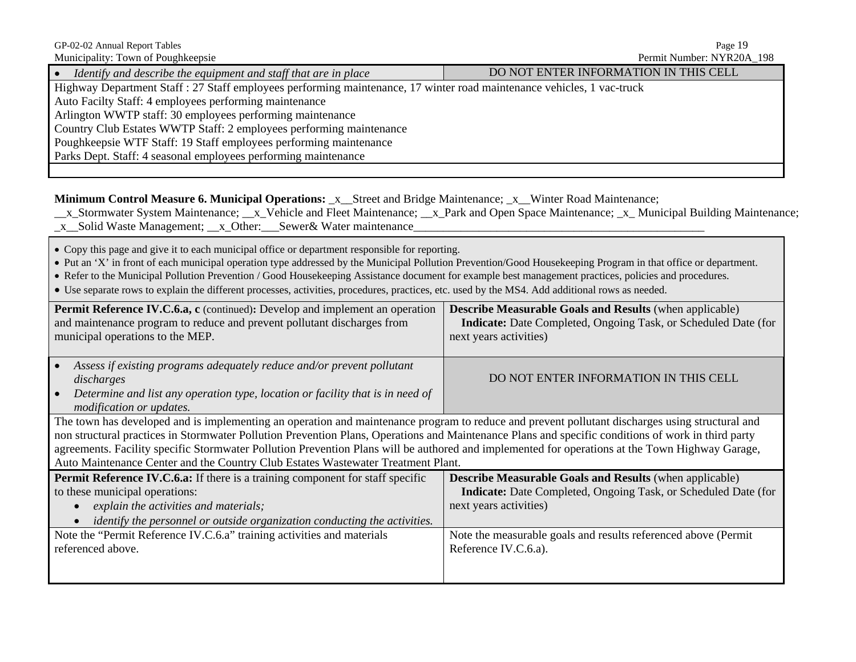| GP-02-02 Annual Report Tables<br>Municipality: Town of Poughkeepsie                                                                                                                                                                                                                                                                                                                                                                                                                                                                                                          | Page 19<br>Permit Number: NYR20A_198                                                                                                                       |  |  |  |
|------------------------------------------------------------------------------------------------------------------------------------------------------------------------------------------------------------------------------------------------------------------------------------------------------------------------------------------------------------------------------------------------------------------------------------------------------------------------------------------------------------------------------------------------------------------------------|------------------------------------------------------------------------------------------------------------------------------------------------------------|--|--|--|
| • Identify and describe the equipment and staff that are in place                                                                                                                                                                                                                                                                                                                                                                                                                                                                                                            | DO NOT ENTER INFORMATION IN THIS CELL                                                                                                                      |  |  |  |
| Highway Department Staff : 27 Staff employees performing maintenance, 17 winter road maintenance vehicles, 1 vac-truck<br>Auto Facilty Staff: 4 employees performing maintenance<br>Arlington WWTP staff: 30 employees performing maintenance<br>Country Club Estates WWTP Staff: 2 employees performing maintenance<br>Poughkeepsie WTF Staff: 19 Staff employees performing maintenance<br>Parks Dept. Staff: 4 seasonal employees performing maintenance                                                                                                                  |                                                                                                                                                            |  |  |  |
| Minimum Control Measure 6. Municipal Operations: _x__Street and Bridge Maintenance; _x__Winter Road Maintenance;<br>x_Stormwater System Maintenance; _x_Vehicle and Fleet Maintenance; _x_Park and Open Space Maintenance; _x_ Municipal Building Maintenance;<br>_x_Solid Waste Management; __x_Other: __Sewer& Water maintenance                                                                                                                                                                                                                                           |                                                                                                                                                            |  |  |  |
| • Copy this page and give it to each municipal office or department responsible for reporting.<br>• Put an 'X' in front of each municipal operation type addressed by the Municipal Pollution Prevention/Good Housekeeping Program in that office or department.<br>• Refer to the Municipal Pollution Prevention / Good Housekeeping Assistance document for example best management practices, policies and procedures.<br>• Use separate rows to explain the different processes, activities, procedures, practices, etc. used by the MS4. Add additional rows as needed. |                                                                                                                                                            |  |  |  |
| Permit Reference IV.C.6.a, c (continued): Develop and implement an operation<br>and maintenance program to reduce and prevent pollutant discharges from<br>municipal operations to the MEP.                                                                                                                                                                                                                                                                                                                                                                                  | <b>Describe Measurable Goals and Results (when applicable)</b><br>Indicate: Date Completed, Ongoing Task, or Scheduled Date (for<br>next years activities) |  |  |  |
| Assess if existing programs adequately reduce and/or prevent pollutant<br>discharges<br>Determine and list any operation type, location or facility that is in need of<br>modification or updates.                                                                                                                                                                                                                                                                                                                                                                           | DO NOT ENTER INFORMATION IN THIS CELL                                                                                                                      |  |  |  |
| The town has developed and is implementing an operation and maintenance program to reduce and prevent pollutant discharges using structural and<br>non structural practices in Stormwater Pollution Prevention Plans, Operations and Maintenance Plans and specific conditions of work in third party<br>agreements. Facility specific Stormwater Pollution Prevention Plans will be authored and implemented for operations at the Town Highway Garage,<br>Auto Maintenance Center and the Country Club Estates Wastewater Treatment Plant.                                 |                                                                                                                                                            |  |  |  |
| Permit Reference IV.C.6.a: If there is a training component for staff specific<br>to these municipal operations:<br>explain the activities and materials;<br>identify the personnel or outside organization conducting the activities.                                                                                                                                                                                                                                                                                                                                       | <b>Describe Measurable Goals and Results (when applicable)</b><br>Indicate: Date Completed, Ongoing Task, or Scheduled Date (for<br>next years activities) |  |  |  |
| Note the "Permit Reference IV.C.6.a" training activities and materials<br>referenced above.                                                                                                                                                                                                                                                                                                                                                                                                                                                                                  | Note the measurable goals and results referenced above (Permit<br>Reference IV.C.6.a).                                                                     |  |  |  |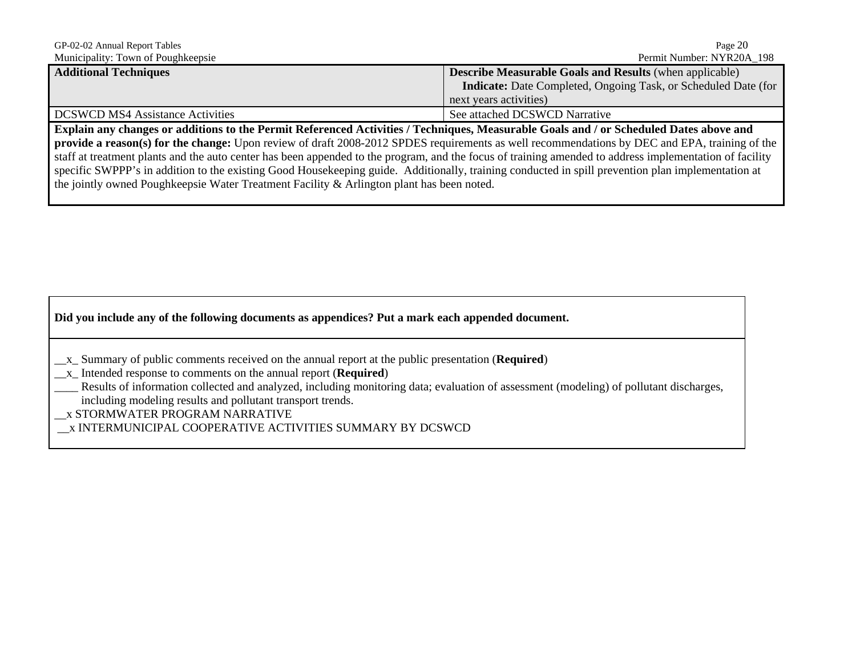| Page 20                                                               |  |  |  |
|-----------------------------------------------------------------------|--|--|--|
| Permit Number: NYR20A 198                                             |  |  |  |
| <b>Describe Measurable Goals and Results</b> (when applicable)        |  |  |  |
| <b>Indicate:</b> Date Completed, Ongoing Task, or Scheduled Date (for |  |  |  |
| next years activities)                                                |  |  |  |
| See attached DCSWCD Narrative                                         |  |  |  |
|                                                                       |  |  |  |

**Explain any changes or additions to the Permit Referenced Activities / Techniques, Measurable Goals and / or Scheduled Dates above and provide a reason(s) for the change:** Upon review of draft 2008-2012 SPDES requirements as well recommendations by DEC and EPA, training of the staff at treatment plants and the auto center has been appended to the program, and the focus of training amended to address implementation of facility specific SWPPP's in addition to the existing Good Housekeeping guide. Additionally, training conducted in spill prevention plan implementation at the jointly owned Poughkeepsie Water Treatment Facility & Arlington plant has been noted.

#### **Did you include any of the following documents as appendices? Put a mark each appended document.**

- \_\_x\_ Summary of public comments received on the annual report at the public presentation (**Required**)
- \_\_x\_ Intended response to comments on the annual report (**Required**)

Results of information collected and analyzed, including monitoring data; evaluation of assessment (modeling) of pollutant discharges, including modeling results and pollutant transport trends.

\_\_x STORMWATER PROGRAM NARRATIVE

\_\_x INTERMUNICIPAL COOPERATIVE ACTIVITIES SUMMARY BY DCSWCD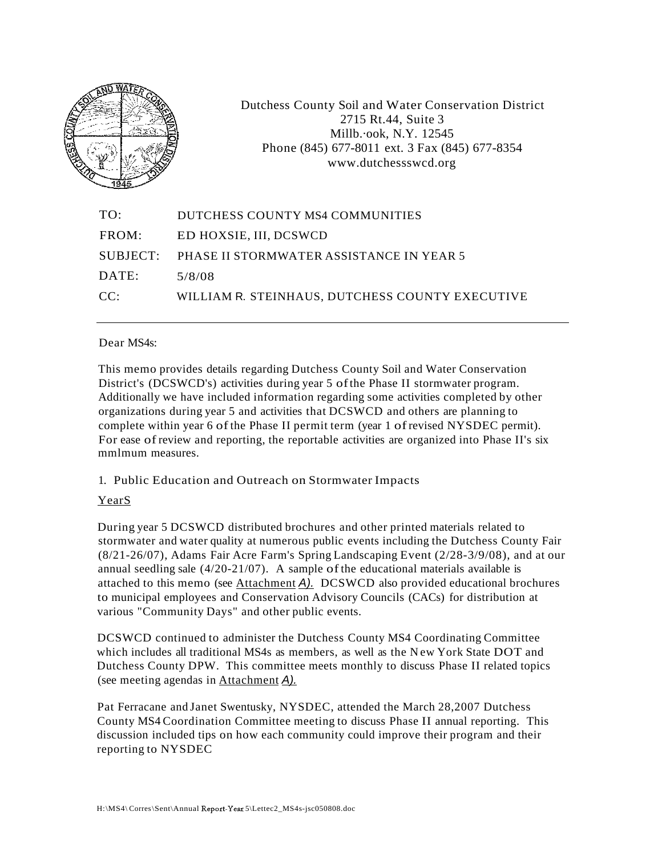

Dutchess County Soil and Water Conservation District 2715 Rt.44, Suite 3 Millb.·ook, N.Y. 12545 Phone (845) 677-8011 ext. 3 Fax (845) 677-8354 www.dutchessswcd.org

| TO:   | DUTCHESS COUNTY MS4 COMMUNITIES                   |
|-------|---------------------------------------------------|
| FROM: | ED HOXSIE, III, DCSWCD                            |
|       | SUBJECT: PHASE II STORMWATER ASSISTANCE IN YEAR 5 |
| DATE: | 5/8/08                                            |
| CC:   | WILLIAM R. STEINHAUS, DUTCHESS COUNTY EXECUTIVE   |
|       |                                                   |

#### Dear MS4s:

This memo provides details regarding Dutchess County Soil and Water Conservation District's (DCSWCD's) activities during year 5 ofthe Phase II stormwater program. Additionally we have included information regarding some activities completed by other organizations during year 5 and activities that DCSWCD and others are planning to complete within year 6 ofthe Phase II permit term (year 1 ofrevised NYSDEC permit). For ease ofreview and reporting, the reportable activities are organized into Phase II's six mmlmum measures.

#### 1. Public Education and Outreach on Stormwater Impacts

#### YearS

During year 5 DCSWCD distributed brochures and other printed materials related to stormwater and water quality at numerous public events including the Dutchess County Fair (8/21-26/07), Adams Fair Acre Farm's Spring Landscaping Event (2/28-3/9/08), and at our annual seedling sale  $(4/20-21/07)$ . A sample of the educational materials available is attached to this memo (see Attachment  $\overline{A}$ ). DCSWCD also provided educational brochures to municipal employees and Conservation Advisory Councils (CACs) for distribution at various "Community Days" and other public events.

DCSWCD continued to administer the Dutchess County MS4 Coordinating Committee which includes all traditional MS4s as members, as well as the New York State DOT and Dutchess County DPW. This committee meets monthly to discuss Phase II related topics (see meeting agendas in Attachment A).

Pat Ferracane and Janet Swentusky, NYSDEC, attended the March 28,2007 Dutchess County MS4 Coordination Committee meeting to discuss Phase II annual reporting. This discussion included tips on how each community could improve their program and their reporting to NYSDEC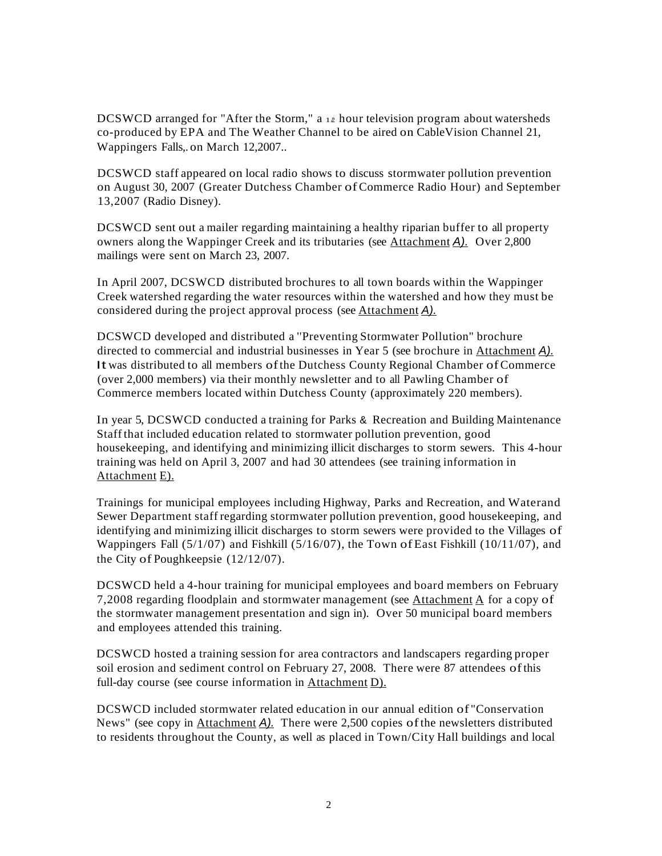DCSWCD arranged for "After the Storm," a  $12$  hour television program about watersheds co-produced by EPA and The Weather Channel to be aired on CableVision Channel 21, Wappingers Falls,. on March 12,2007..

DCSWCD staff appeared on local radio shows to discuss stormwater pollution prevention on August 30, 2007 (Greater Dutchess Chamber ofCommerce Radio Hour) and September 13,2007 (Radio Disney).

DCSWCD sent out a mailer regarding maintaining a healthy riparian buffer to all property owners along the Wappinger Creek and its tributaries (see Attachment A). Over 2,800 mailings were sent on March 23, 2007.

In April 2007, DCSWCD distributed brochures to all town boards within the Wappinger Creek watershed regarding the water resources within the watershed and how they must be considered during the project approval process (see Attachment A).

DCSWCD developed and distributed a ''Preventing Stormwater Pollution" brochure directed to commercial and industrial businesses in Year 5 (see brochure in Attachment A). It was distributed to all members ofthe Dutchess County Regional Chamber ofCommerce (over 2,000 members) via their monthly newsletter and to all Pawling Chamber of Commerce members located within Dutchess County (approximately 220 members).

In year 5, DCSWCD conducted a training for Parks & Recreation and Building Maintenance Staffthat included education related to stormwater pollution prevention, good housekeeping, and identifying and minimizing illicit discharges to storm sewers. This 4-hour training was held on April 3, 2007 and had 30 attendees (see training information in Attachment E).

Trainings for municipal employees including Highway, Parks and Recreation, and Waterand Sewer Department staff regarding stormwater pollution prevention, good housekeeping, and identifying and minimizing illicit discharges to storm sewers were provided to the Villages of Wappingers Fall (5/1/07) and Fishkill (5/16/07), the Town ofEast Fishkill (10/11/07), and the City of Poughkeepsie (12/12/07).

DCSWCD held a 4-hour training for municipal employees and board members on February 7,2008 regarding floodplain and stormwater management (see Attachment A for a copy of the stormwater management presentation and sign in). Over 50 municipal board members and employees attended this training.

DCSWCD hosted a training session for area contractors and landscapers regarding proper soil erosion and sediment control on February 27, 2008. There were 87 attendees ofthis full-day course (see course information in Attachment D).

DCSWCD included stormwater related education in our annual edition of "Conservation News" (see copy in Attachment A). There were 2,500 copies ofthe newsletters distributed to residents throughout the County, as well as placed in Town/City Hall buildings and local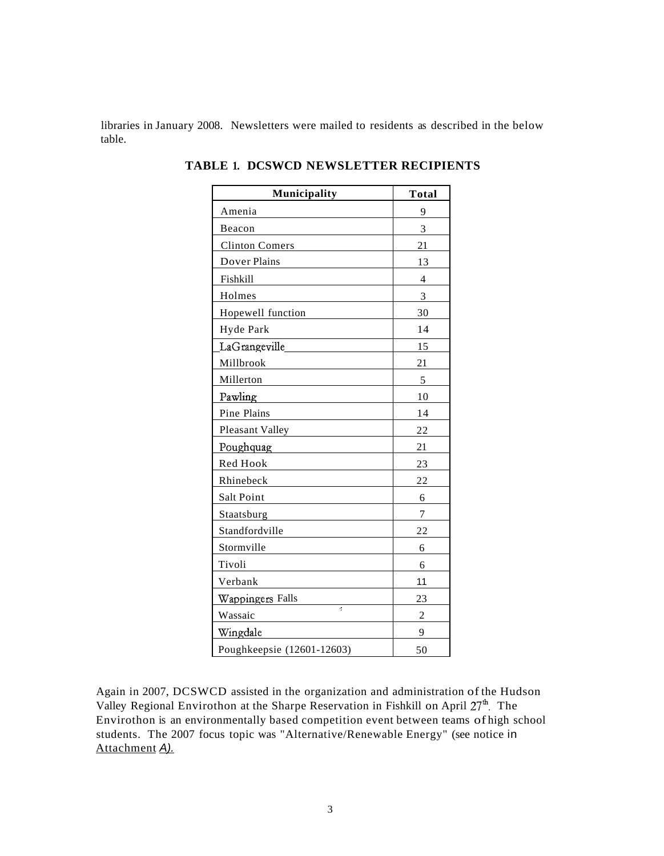libraries in January 2008. Newsletters were mailed to residents as described in the below table.

| Municipality               | <b>Total</b>   |
|----------------------------|----------------|
| Amenia                     | 9              |
| Beacon                     | 3              |
| <b>Clinton Comers</b>      | 21             |
| Dover Plains               | 13             |
| Fishkill                   | 4              |
| Holmes                     | 3              |
| Hopewell function          | 30             |
| Hyde Park                  | 14             |
| LaGrangeville              | 15             |
| Millbrook                  | 21             |
| Millerton                  | 5              |
| Pawling                    | 10             |
| Pine Plains                | 14             |
| Pleasant Valley            | 22             |
| Poughquag                  | 21             |
| Red Hook                   | 23             |
| Rhinebeck                  | 22             |
| Salt Point                 | 6              |
| Staatsburg                 | 7              |
| Standfordville             | 22             |
| Stormville                 | 6              |
| Tivoli                     | 6              |
| Verbank                    | 11             |
| Wappingers Falls           | 23             |
| k,<br>Wassaic              | $\overline{c}$ |
| Wingdale                   | 9              |
| Poughkeepsie (12601-12603) | 50             |

**TABLE 1. DCSWCD NEWSLETTER RECIPIENTS**

Again in 2007, DCSWCD assisted in the organization and administration of the Hudson Valley Regional Envirothon at the Sharpe Reservation in Fishkill on April  $27<sup>th</sup>$ . The Envirothon is an environmentally based competition event between teams of high school students. The 2007 focus topic was "Alternative/Renewable Energy" (see notice in Attachment A).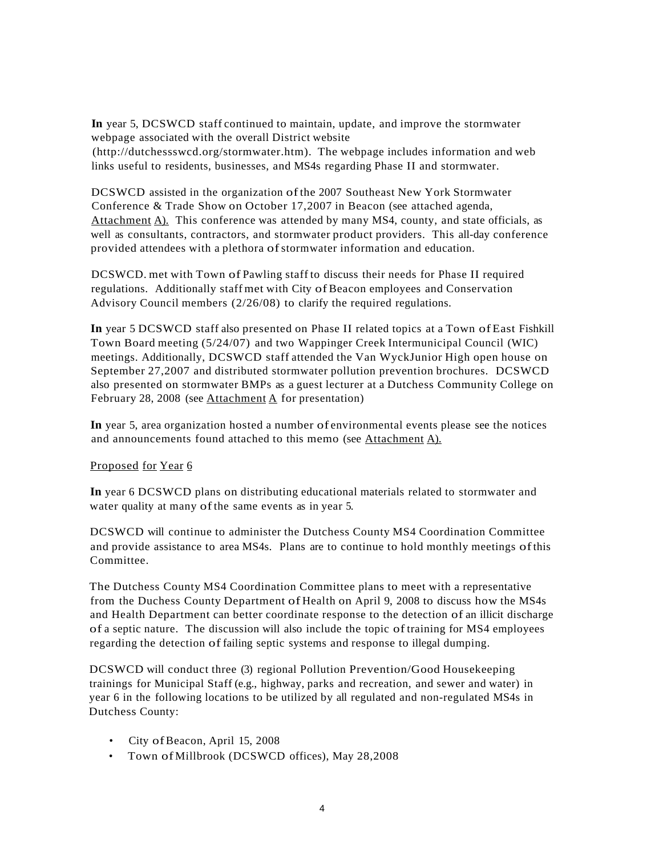**In** year 5, DCSWCD staff continued to maintain, update, and improve the stormwater webpage associated with the overall District website (http://dutchessswcd.org/stormwater.htm). The webpage includes information and web links useful to residents, businesses, and MS4s regarding Phase II and stormwater.

DCSWCD assisted in the organization ofthe 2007 Southeast New York Stormwater Conference & Trade Show on October 17,2007 in Beacon (see attached agenda, Attachment A). This conference was attended by many MS4, county, and state officials, as well as consultants, contractors, and stormwater product providers. This all-day conference provided attendees with a plethora of stormwater information and education.

DCSWCD. met with Town of Pawling staff to discuss their needs for Phase II required regulations. Additionally staff met with City ofBeacon employees and Conservation Advisory Council members (2/26/08) to clarify the required regulations.

**In** year 5 DCSWCD staff also presented on Phase II related topics at a Town ofEast Fishkill Town Board meeting (5/24/07) and two Wappinger Creek Intermunicipal Council (WIC) meetings. Additionally, DCSWCD staff attended the Van WyckJunior High open house on September 27,2007 and distributed stormwater pollution prevention brochures. DCSWCD also presented on stormwater BMPs as a guest lecturer at a Dutchess Community College on February 28, 2008 (see Attachment  $\overline{A}$  for presentation)

**In** year 5, area organization hosted a number of environmental events please see the notices and announcements found attached to this memo (see Attachment A).

#### Proposed for Year 6

**In** year 6 DCSWCD plans on distributing educational materials related to stormwater and water quality at many ofthe same events as in year 5.

DCSWCD will continue to administer the Dutchess County MS4 Coordination Committee and provide assistance to area MS4s. Plans are to continue to hold monthly meetings ofthis Committee.

The Dutchess County MS4 Coordination Committee plans to meet with a representative from the Duchess County Department of Health on April 9, 2008 to discuss how the MS4s and Health Department can better coordinate response to the detection of an illicit discharge of a septic nature. The discussion will also include the topic oftraining for MS4 employees regarding the detection of failing septic systems and response to illegal dumping.

DCSWCD will conduct three (3) regional Pollution Prevention/Good Housekeeping trainings for Municipal Staff (e.g., highway, parks and recreation, and sewer and water) in year 6 in the following locations to be utilized by all regulated and non-regulated MS4s in Dutchess County:

- City of Beacon, April 15, 2008
- Town of Millbrook (DCSWCD offices), May 28,2008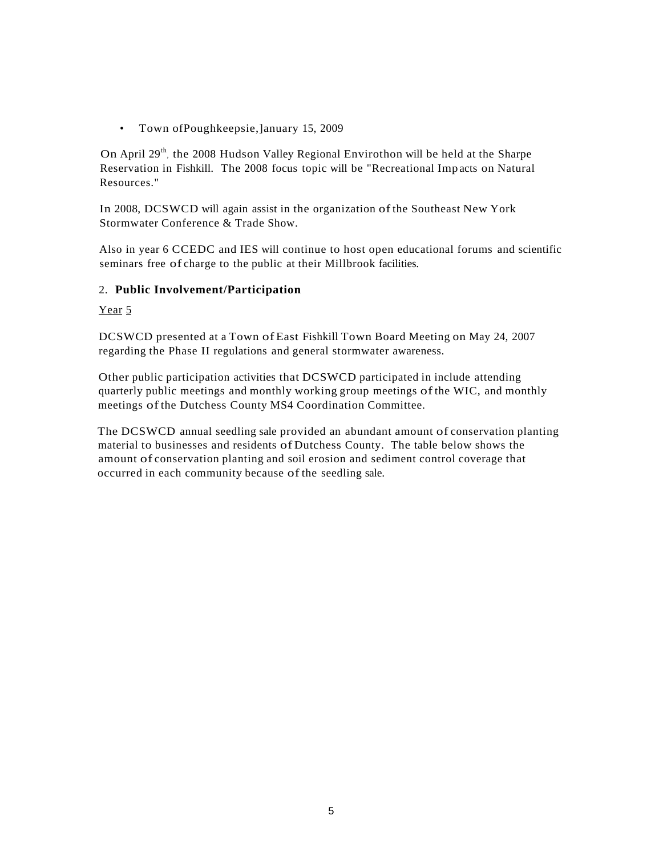• Town ofPoughkeepsie,]anuary 15, 2009

On April 29<sup>th</sup>, the 2008 Hudson Valley Regional Envirothon will be held at the Sharpe Reservation in Fishkill. The 2008 focus topic will be "Recreational Imp acts on Natural Resources."

In 2008, DCSWCD will again assist in the organization ofthe Southeast New York Stormwater Conference & Trade Show.

Also in year 6 CCEDC and IES will continue to host open educational forums and scientific seminars free of charge to the public at their Millbrook facilities.

#### 2. **Public Involvement/Participation**

Year 5

DCSWCD presented at a Town ofEast Fishkill Town Board Meeting on May 24, 2007 regarding the Phase II regulations and general stormwater awareness.

Other public participation activities that DCSWCD participated in include attending quarterly public meetings and monthly working group meetings ofthe WIC, and monthly meetings ofthe Dutchess County MS4 Coordination Committee.

The DCSWCD annual seedling sale provided an abundant amount of conservation planting material to businesses and residents of Dutchess County. The table below shows the amount of conservation planting and soil erosion and sediment control coverage that occurred in each community because of the seedling sale.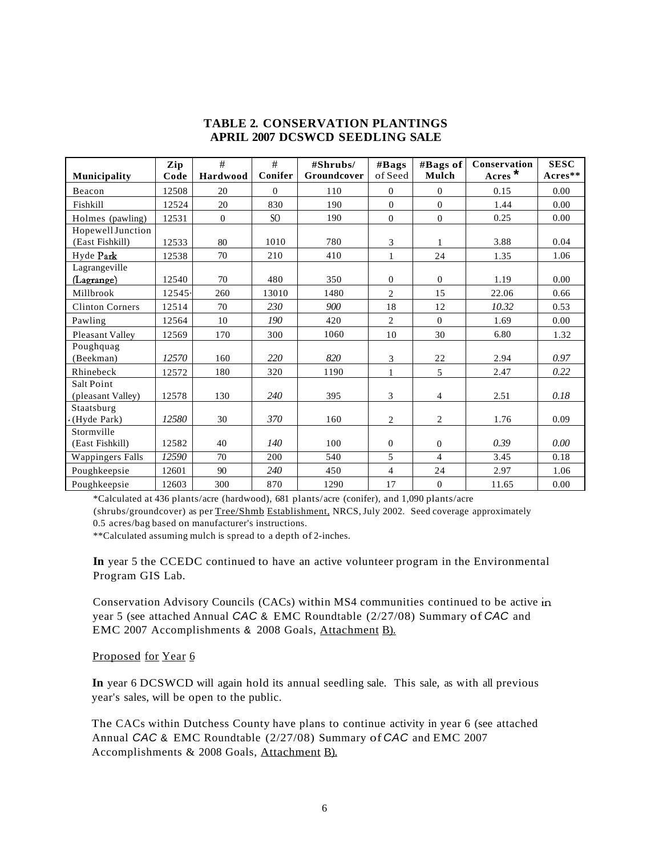#### **TABLE 2. CONSERVATION PLANTINGS APRIL 2007 DCSWCD SEEDLING SALE**

| Municipality                         | Zip<br>Code | #<br>Hardwood    | #<br>Conifer    | #Shrubs/<br>Groundcover | #Bags<br>of Seed | #Bags of<br>Mulch | Conservation<br>$\angle$ Acres $*$ | <b>SESC</b><br>$A$ cres $**$ |
|--------------------------------------|-------------|------------------|-----------------|-------------------------|------------------|-------------------|------------------------------------|------------------------------|
| Beacon                               | 12508       | 20               | $\overline{0}$  | 110                     | $\overline{0}$   | $\mathbf{0}$      | 0.15                               | 0.00                         |
| Fishkill                             | 12524       | 20               | 830             | 190                     | $\Omega$         | $\overline{0}$    | 1.44                               | 0.00                         |
| Holmes (pawling)                     | 12531       | $\boldsymbol{0}$ | SO <sub>1</sub> | 190                     | $\boldsymbol{0}$ | $\boldsymbol{0}$  | 0.25                               | 0.00                         |
| Hopewell Junction<br>(East Fishkill) | 12533       | 80               | 1010            | 780                     | 3                | $\mathbf{1}$      | 3.88                               | 0.04                         |
| Hyde Park                            | 12538       | 70               | 210             | 410                     | $\mathbf{1}$     | 24                | 1.35                               | 1.06                         |
| Lagrangeville<br>(Lagrange)          | 12540       | 70               | 480             | 350                     | $\overline{0}$   | $\overline{0}$    | 1.19                               | 0.00                         |
| Millbrook                            | 12545.      | 260              | 13010           | 1480                    | $\overline{c}$   | 15                | 22.06                              | 0.66                         |
| <b>Clinton Corners</b>               | 12514       | 70               | 230             | 900                     | 18               | 12                | 10.32                              | 0.53                         |
| Pawling                              | 12564       | 10               | 190             | 420                     | $\overline{c}$   | $\theta$          | 1.69                               | 0.00                         |
| Pleasant Valley                      | 12569       | 170              | 300             | 1060                    | 10               | 30                | 6.80                               | 1.32                         |
| Poughquag<br>(Beekman)               | 12570       | 160              | 220             | 820                     | 3                | 22                | 2.94                               | 0.97                         |
| Rhinebeck                            | 12572       | 180              | 320             | 1190                    | $\mathbf{1}$     | 5                 | 2.47                               | 0.22                         |
| Salt Point<br>(pleasant Valley)      | 12578       | 130              | 240             | 395                     | 3                | $\overline{4}$    | 2.51                               | 0.18                         |
| Staatsburg<br>(Hyde Park)            | 12580       | 30               | 370             | 160                     | $\overline{c}$   | $\overline{c}$    | 1.76                               | 0.09                         |
| Stormville<br>(East Fishkill)        | 12582       | 40               | 140             | 100                     | $\overline{0}$   | $\overline{0}$    | 0.39                               | 0.00                         |
| <b>Wappingers Falls</b>              | 12590       | 70               | 200             | 540                     | 5                | $\overline{4}$    | 3.45                               | 0.18                         |
| Poughkeepsie                         | 12601       | 90               | 240             | 450                     | $\overline{4}$   | 24                | 2.97                               | 1.06                         |
| Poughkeepsie                         | 12603       | 300              | 870             | 1290                    | 17               | $\boldsymbol{0}$  | 11.65                              | 0.00                         |

\*Calculated at 436 plants/acre (hardwood), 681 plants/acre (conifer), and 1,090 plants/acre

(shrubs/groundcover) as per Tree/Shmb Establishment, NRCS, July 2002. Seed coverage approximately 0.5 acres/bag based on manufacturer's instructions.

\*\*Calculated assuming mulch is spread to a depth of 2-inches.

**In** year 5 the CCEDC continued to have an active volunteer program in the Environmental Program GIS Lab.

Conservation Advisory Councils (CACs) within MS4 communities continued to be active in year 5 (see attached Annual CAC & EMC Roundtable (2/27/08) Summary of CAC and EMC 2007 Accomplishments & 2008 Goals, Attachment B).

#### Proposed for Year 6

**In** year 6 DCSWCD will again hold its annual seedling sale. This sale, as with all previous year's sales, will be open to the public.

The CACs within Dutchess County have plans to continue activity in year 6 (see attached Annual CAC & EMC Roundtable (2/27/08) Summary of CAC and EMC 2007 Accomplishments & 2008 Goals, Attachment B).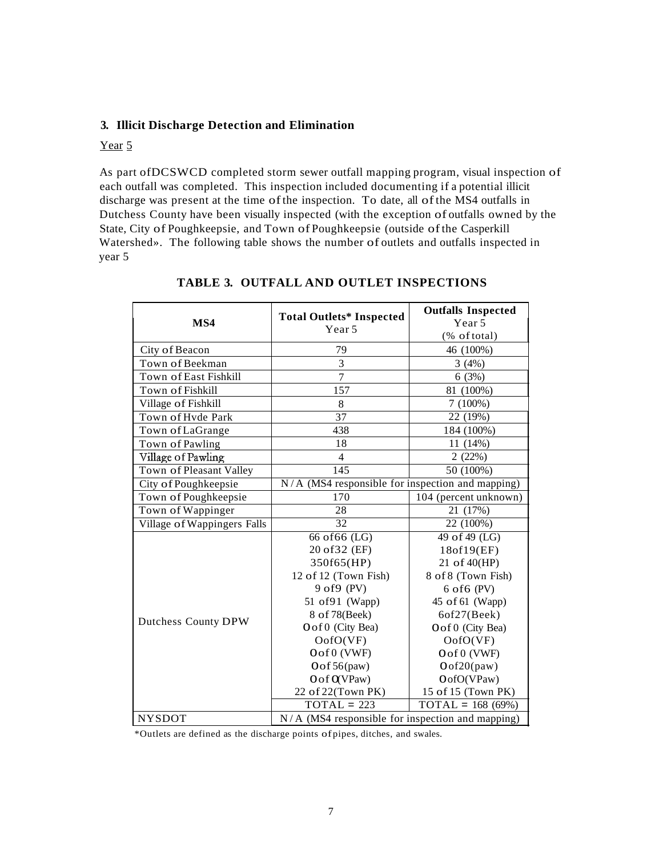#### **3. Illicit Discharge Detection and Elimination**

#### Year 5

As part ofDCSWCD completed storm sewer outfall mapping program, visual inspection of each outfall was completed. This inspection included documenting if a potential illicit discharge was present at the time ofthe inspection. To date, all ofthe MS4 outfalls in Dutchess County have been visually inspected (with the exception of outfalls owned by the State, City of Poughkeepsie, and Town of Poughkeepsie (outside ofthe Casperkill Watershed». The following table shows the number of outlets and outfalls inspected in year 5

| MS4                                | <b>Total Outlets* Inspected</b><br>Year 5          | <b>Outfalls Inspected</b><br>Year 5 |
|------------------------------------|----------------------------------------------------|-------------------------------------|
|                                    |                                                    | (% of total)                        |
| City of Beacon                     | 79                                                 | 46 (100%)                           |
| Town of Beekman                    | 3                                                  | 3(4%)                               |
| Town of East Fishkill              | $\overline{7}$                                     | 6(3%)                               |
| Town of Fishkill                   | 157                                                | 81 (100%)                           |
| Village of Fishkill                | 8                                                  | $7(100\%)$                          |
| Town of Hyde Park                  | 37                                                 | 22 (19%)                            |
| Town of LaGrange                   | 438                                                | 184 (100%)                          |
| Town of Pawling                    | 18                                                 | 11 (14%)                            |
| Village of Pawling                 | $\overline{4}$                                     | 2(22%)                              |
| Town of Pleasant Valley            | 145                                                | 50 (100%)                           |
| City of Poughkeepsie               | $N/A$ (MS4 responsible for inspection and mapping) |                                     |
| Town of Poughkeepsie               | 170                                                | 104 (percent unknown)               |
| Town of Wappinger                  | 28                                                 | 21 (17%)                            |
| <b>Village of Wappingers Falls</b> | 32                                                 | 22 (100%)                           |
| Dutchess County DPW                | $66$ of $66$ (LG)                                  | $49$ of $49$ (LG)                   |
|                                    | 20 of 32 (EF)                                      | 18of19(EF)                          |
|                                    | 350f65(HP)                                         | 21 of 40(HP)                        |
|                                    | 12 of 12 (Town Fish)                               | 8 of 8 (Town Fish)                  |
|                                    | 9 of 9 (PV)                                        | $6$ of $6$ (PV)                     |
|                                    | 51 of 91 (Wapp)                                    | 45 of 61 (Wapp)                     |
|                                    | 8 of 78(Beek)                                      | 6of27(Beek)                         |
|                                    | O of 0 (City Bea)                                  | Oof 0 (City Bea)                    |
|                                    | OofO(VF)                                           | OofO(VF)                            |
|                                    | Oof 0 (VWF)                                        | Oof 0 (VWF)                         |
|                                    | Oof56(paw)                                         | Oof20(paw)                          |
|                                    | O of QVPaw)                                        | OofO(VPaw)                          |
|                                    | 22 of 22(Town PK)                                  | 15 of 15 (Town PK)                  |
|                                    | $TOTAL = 223$                                      | $TOTAL = 168 (69%)$                 |
| <b>NYSDOT</b>                      | $N/A$ (MS4 responsible for inspection and mapping) |                                     |

#### **TABLE 3. OUTFALL AND OUTLET INSPECTIONS**

\*Outlets are defined as the discharge points ofpipes, ditches, and swales.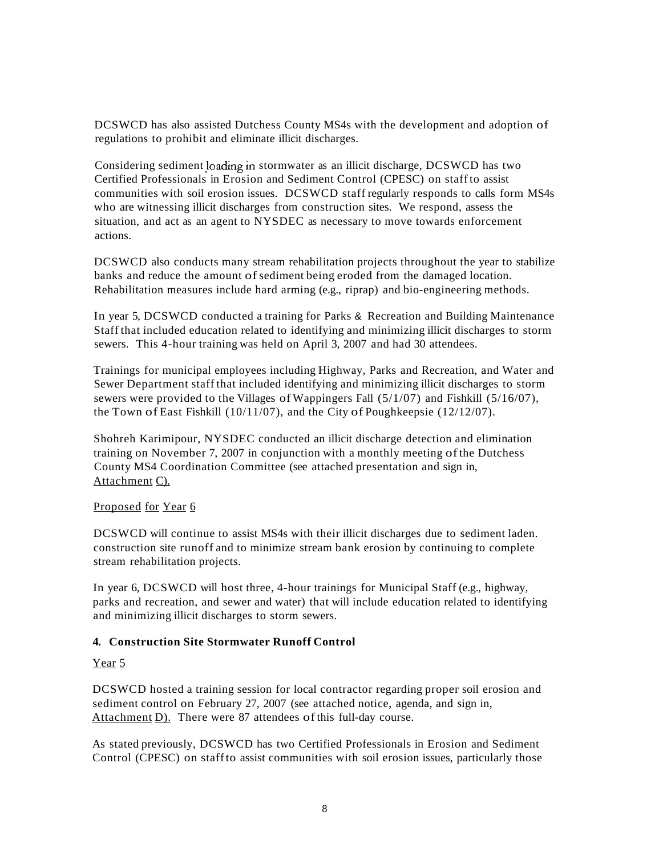DCSWCD has also assisted Dutchess County MS4s with the development and adoption of regulations to prohibit and eliminate illicit discharges.

Considering sediment loading in stormwater as an illicit discharge, DCSWCD has two Certified Professionals in Erosion and Sediment Control (CPESC) on staffto assist communities with soil erosion issues. DCSWCD staff regularly responds to calls form MS4s who are witnessing illicit discharges from construction sites. We respond, assess the situation, and act as an agent to NYSDEC as necessary to move towards enforcement actions.

DCSWCD also conducts many stream rehabilitation projects throughout the year to stabilize banks and reduce the amount ofsediment being eroded from the damaged location. Rehabilitation measures include hard arming (e.g., riprap) and bio-engineering methods.

In year 5, DCSWCD conducted a training for Parks & Recreation and Building Maintenance Staff that included education related to identifying and minimizing illicit discharges to storm sewers. This 4-hour training was held on April 3, 2007 and had 30 attendees.

Trainings for municipal employees including Highway, Parks and Recreation, and Water and Sewer Department staff that included identifying and minimizing illicit discharges to storm sewers were provided to the Villages of Wappingers Fall (5/1/07) and Fishkill (5/16/07), the Town of East Fishkill (10/11/07), and the City of Poughkeepsie (12/12/07).

Shohreh Karimipour, NYSDEC conducted an illicit discharge detection and elimination training on November 7, 2007 in conjunction with a monthly meeting ofthe Dutchess County MS4 Coordination Committee (see attached presentation and sign in, Attachment C).

#### Proposed for Year 6

DCSWCD will continue to assist MS4s with their illicit discharges due to sediment laden. construction site runoff and to minimize stream bank erosion by continuing to complete stream rehabilitation projects.

In year 6, DCSWCD will host three, 4-hour trainings for Municipal Staff (e.g., highway, parks and recreation, and sewer and water) that will include education related to identifying and minimizing illicit discharges to storm sewers.

#### **4. Construction Site Stormwater Runoff Control**

Year<sub>5</sub>

DCSWCD hosted a training session for local contractor regarding proper soil erosion and sediment control on February 27, 2007 (see attached notice, agenda, and sign in, Attachment D). There were 87 attendees ofthis full-day course.

As stated previously, DCSWCD has two Certified Professionals in Erosion and Sediment Control (CPESC) on staffto assist communities with soil erosion issues, particularly those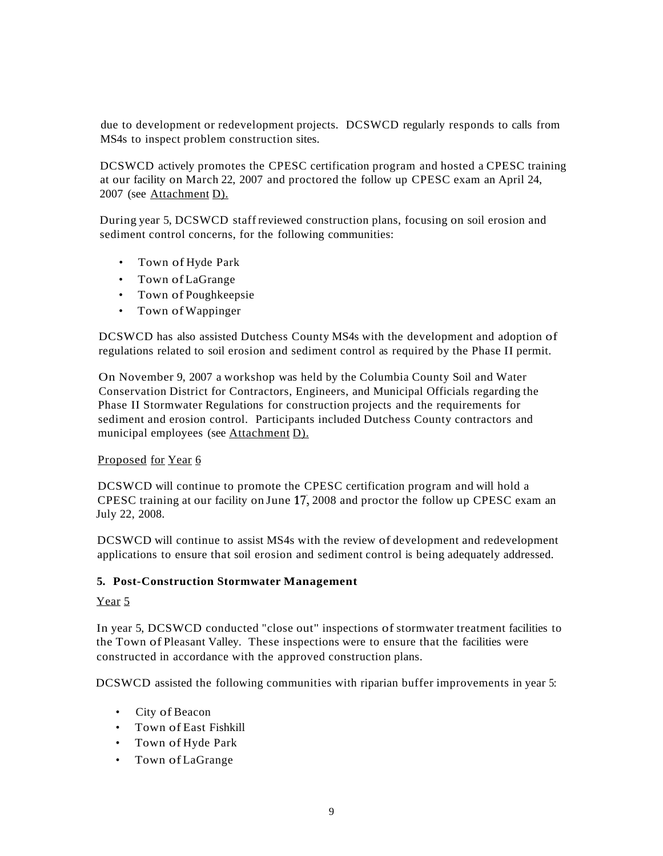due to development or redevelopment projects. DCSWCD regularly responds to calls from MS4s to inspect problem construction sites.

DCSWCD actively promotes the CPESC certification program and hosted a CPESC training at our facility on March 22, 2007 and proctored the follow up CPESC exam an April 24, 2007 (see Attachment D).

During year 5, DCSWCD staff reviewed construction plans, focusing on soil erosion and sediment control concerns, for the following communities:

- Town of Hyde Park
- Town ofLaGrange
- Town of Poughkeepsie
- Town ofWappinger

DCSWCD has also assisted Dutchess County MS4s with the development and adoption of regulations related to soil erosion and sediment control as required by the Phase II permit.

On November 9, 2007 a workshop was held by the Columbia County Soil and Water Conservation District for Contractors, Engineers, and Municipal Officials regarding the Phase II Stormwater Regulations for construction projects and the requirements for sediment and erosion control. Participants included Dutchess County contractors and municipal employees (see Attachment D).

#### Proposed for Year 6

DCSWCD will continue to promote the CPESC certification program and will hold a CPESC training at our facility on June 17, 2008 and proctor the follow up CPESC exam an July 22, 2008.

DCSWCD will continue to assist MS4s with the review of development and redevelopment applications to ensure that soil erosion and sediment control is being adequately addressed.

#### **5. Post-Construction Stormwater Management**

#### Year 5

In year 5, DCSWCD conducted "close out" inspections of stormwater treatment facilities to the Town of Pleasant Valley. These inspections were to ensure that the facilities were constructed in accordance with the approved construction plans.

DCSWCD assisted the following communities with riparian buffer improvements in year 5:

- City of Beacon
- Town of East Fishkill
- Town of Hyde Park
- Town ofLaGrange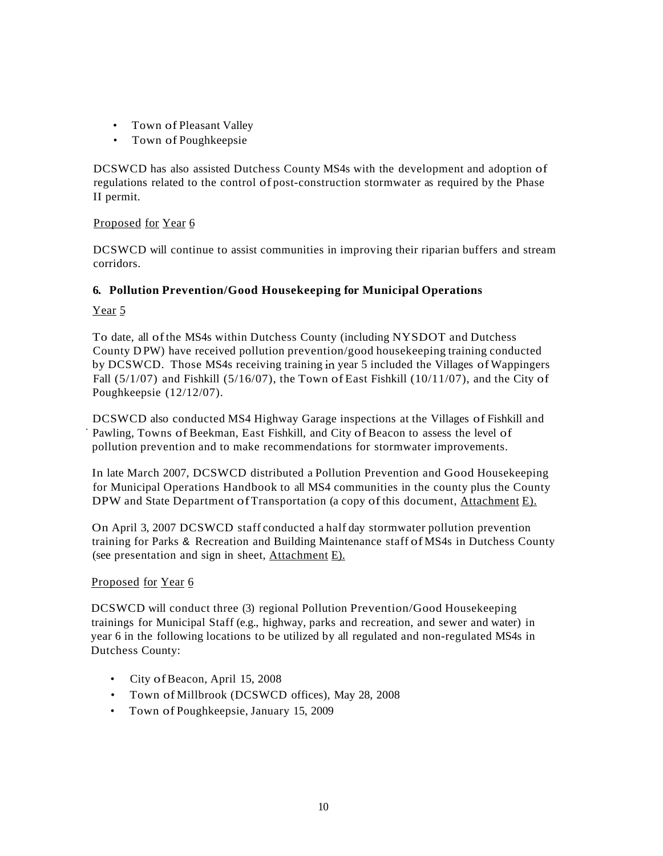- Town of Pleasant Valley
- Town of Poughkeepsie

DCSWCD has also assisted Dutchess County MS4s with the development and adoption of regulations related to the control of post-construction stormwater as required by the Phase II permit.

#### Proposed for Year 6

DCSWCD will continue to assist communities in improving their riparian buffers and stream corridors.

#### **6. Pollution Prevention/Good Housekeeping for Municipal Operations**

Year<sub>5</sub>

To date, all ofthe MS4s within Dutchess County (including NYSDOT and Dutchess County D PW) have received pollution prevention/good housekeeping training conducted by DCSWCD. Those MS4s receiving training in year 5 included the Villages ofWappingers Fall  $(5/1/07)$  and Fishkill  $(5/16/07)$ , the Town of East Fishkill  $(10/11/07)$ , and the City of Poughkeepsie (12/12/07).

DCSWCD also conducted MS4 Highway Garage inspections at the Villages of Fishkill and . Pawling, Towns of Beekman, East Fishkill, and City of Beacon to assess the level of pollution prevention and to make recommendations for stormwater improvements.

In late March 2007, DCSWCD distributed a Pollution Prevention and Good Housekeeping for Municipal Operations Handbook to all MS4 communities in the county plus the County DPW and State Department of Transportation (a copy of this document, Attachment E).

On April 3, 2007 DCSWCD staff conducted a half day stormwater pollution prevention training for Parks & Recreation and Building Maintenance staff of MS4s in Dutchess County (see presentation and sign in sheet, Attachment E).

#### Proposed for Year 6

DCSWCD will conduct three (3) regional Pollution Prevention/Good Housekeeping trainings for Municipal Staff (e.g., highway, parks and recreation, and sewer and water) in year 6 in the following locations to be utilized by all regulated and non-regulated MS4s in Dutchess County:

- City of Beacon, April 15, 2008
- Town of Millbrook (DCSWCD offices), May 28, 2008
- Town of Poughkeepsie, January 15, 2009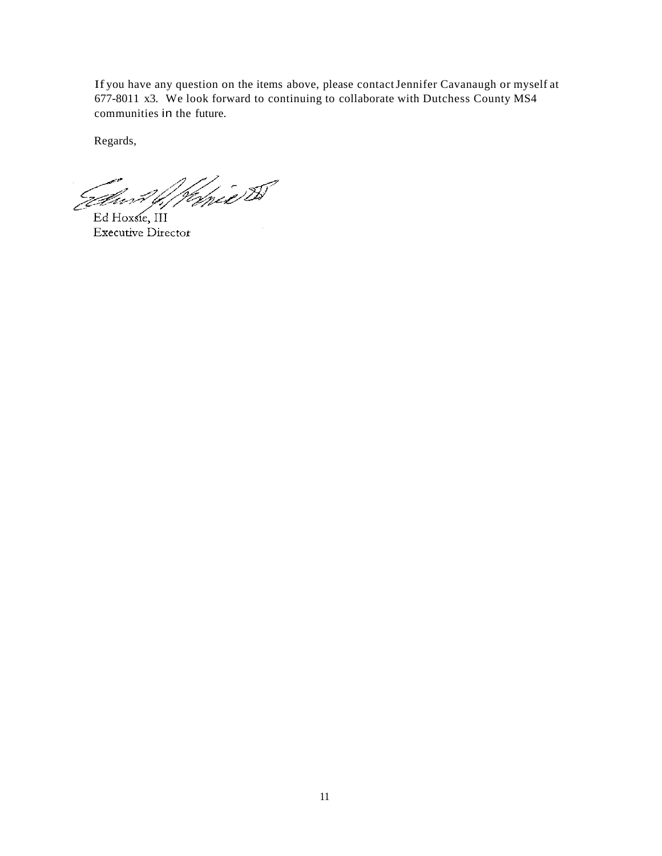If you have any question on the items above, please contactJennifer Cavanaugh or myself at 677-8011 x3. We look forward to continuing to collaborate with Dutchess County MS4 communities in the future.

Regards,

Wanie W Élm

Ed Hoxsie, III Executive Director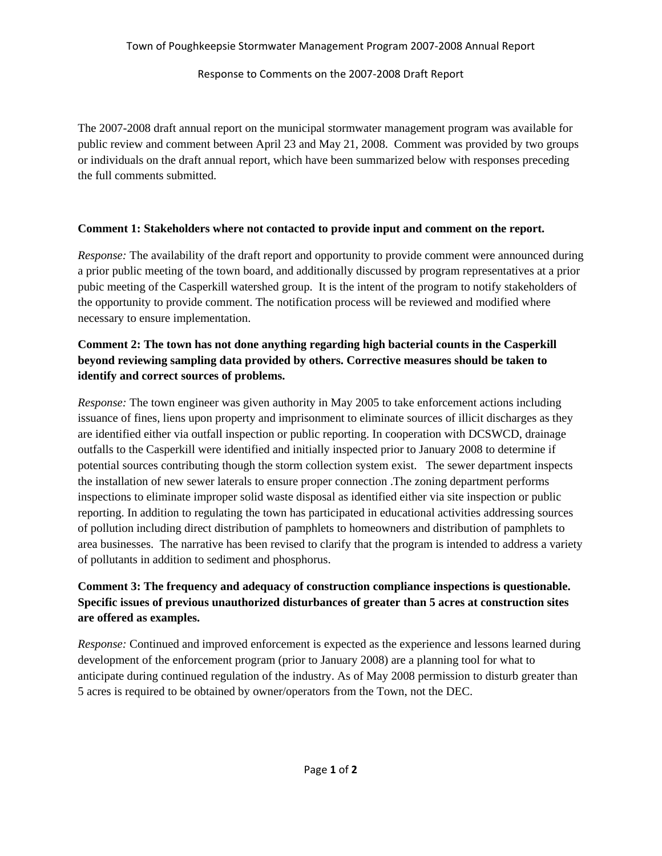Response to Comments on the 2007‐2008 Draft Report

The 2007-2008 draft annual report on the municipal stormwater management program was available for public review and comment between April 23 and May 21, 2008. Comment was provided by two groups or individuals on the draft annual report, which have been summarized below with responses preceding the full comments submitted.

#### **Comment 1: Stakeholders where not contacted to provide input and comment on the report.**

*Response:* The availability of the draft report and opportunity to provide comment were announced during a prior public meeting of the town board, and additionally discussed by program representatives at a prior pubic meeting of the Casperkill watershed group. It is the intent of the program to notify stakeholders of the opportunity to provide comment. The notification process will be reviewed and modified where necessary to ensure implementation.

#### **Comment 2: The town has not done anything regarding high bacterial counts in the Casperkill beyond reviewing sampling data provided by others. Corrective measures should be taken to identify and correct sources of problems.**

*Response:* The town engineer was given authority in May 2005 to take enforcement actions including issuance of fines, liens upon property and imprisonment to eliminate sources of illicit discharges as they are identified either via outfall inspection or public reporting. In cooperation with DCSWCD, drainage outfalls to the Casperkill were identified and initially inspected prior to January 2008 to determine if potential sources contributing though the storm collection system exist. The sewer department inspects the installation of new sewer laterals to ensure proper connection .The zoning department performs inspections to eliminate improper solid waste disposal as identified either via site inspection or public reporting. In addition to regulating the town has participated in educational activities addressing sources of pollution including direct distribution of pamphlets to homeowners and distribution of pamphlets to area businesses. The narrative has been revised to clarify that the program is intended to address a variety of pollutants in addition to sediment and phosphorus.

### **Comment 3: The frequency and adequacy of construction compliance inspections is questionable. Specific issues of previous unauthorized disturbances of greater than 5 acres at construction sites are offered as examples.**

*Response:* Continued and improved enforcement is expected as the experience and lessons learned during development of the enforcement program (prior to January 2008) are a planning tool for what to anticipate during continued regulation of the industry. As of May 2008 permission to disturb greater than 5 acres is required to be obtained by owner/operators from the Town, not the DEC.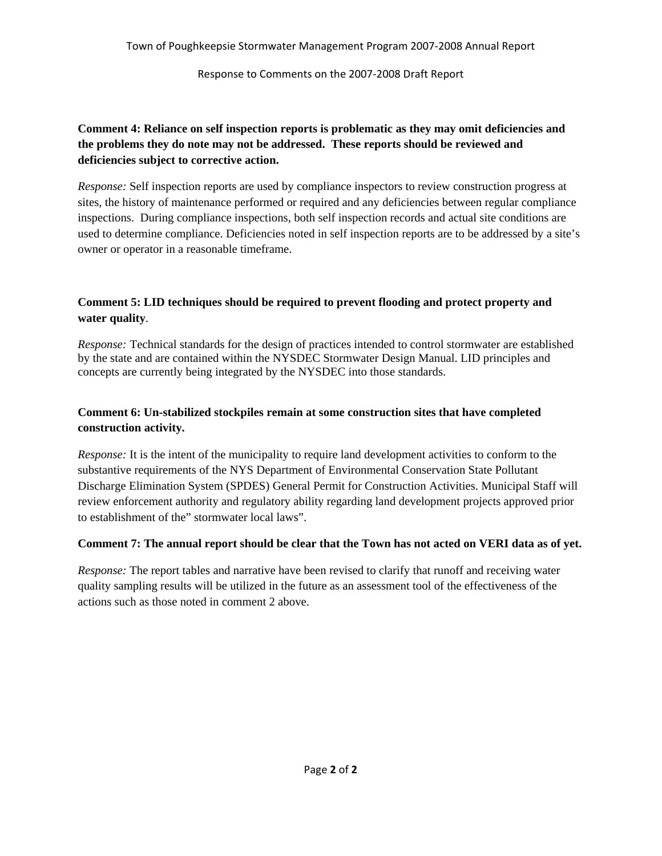Response to Comments on the 2007‐2008 Draft Report

#### **Comment 4: Reliance on self inspection reports is problematic as they may omit deficiencies and the problems they do note may not be addressed. These reports should be reviewed and deficiencies subject to corrective action.**

*Response:* Self inspection reports are used by compliance inspectors to review construction progress at sites, the history of maintenance performed or required and any deficiencies between regular compliance inspections. During compliance inspections, both self inspection records and actual site conditions are used to determine compliance. Deficiencies noted in self inspection reports are to be addressed by a site's owner or operator in a reasonable timeframe.

#### **Comment 5: LID techniques should be required to prevent flooding and protect property and water quality**.

*Response:* Technical standards for the design of practices intended to control stormwater are established by the state and are contained within the NYSDEC Stormwater Design Manual. LID principles and concepts are currently being integrated by the NYSDEC into those standards.

#### **Comment 6: Un-stabilized stockpiles remain at some construction sites that have completed construction activity.**

*Response:* It is the intent of the municipality to require land development activities to conform to the substantive requirements of the NYS Department of Environmental Conservation State Pollutant Discharge Elimination System (SPDES) General Permit for Construction Activities. Municipal Staff will review enforcement authority and regulatory ability regarding land development projects approved prior to establishment of the" stormwater local laws".

#### **Comment 7: The annual report should be clear that the Town has not acted on VERI data as of yet.**

*Response:* The report tables and narrative have been revised to clarify that runoff and receiving water quality sampling results will be utilized in the future as an assessment tool of the effectiveness of the actions such as those noted in comment 2 above.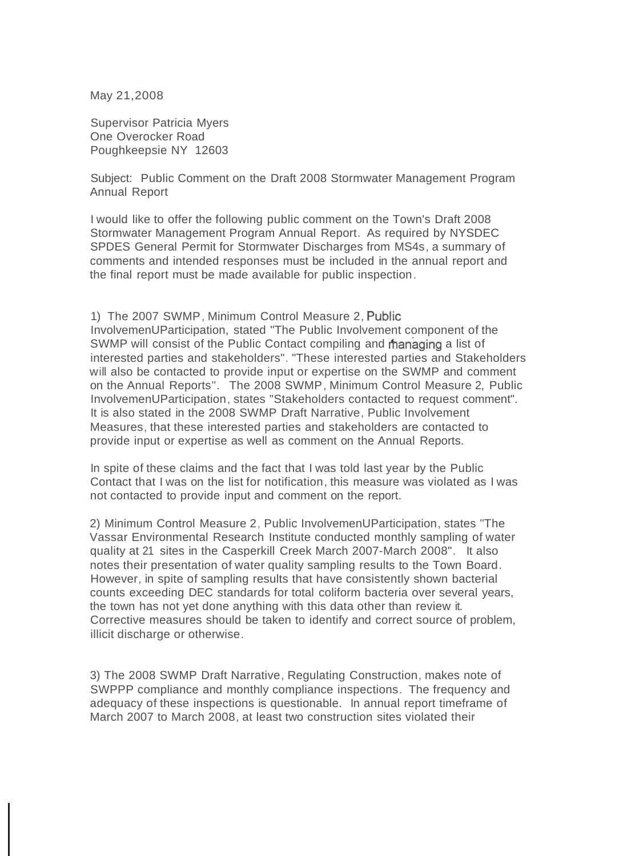May 21,2008

Supervisor Patricia Myers One Overocker Road Poughkeepsie NY 12603

Subject: Public Comment on the Draft 2008 Stormwater Management Program Annual Report

I would like to offer the following public comment on the Town's Draft 2008 Stormwater Management Program Annual Report. As required by NYSDEC SPDES General Permit for Stormwater Discharges from MS4s, a summary of comments and intended responses must be included in the annual report and the final report must be made available for public inspection.

1) The 2007 SWMP, Minimum Control Measure 2, Public InvolvemenUParticipation, stated "The Public Involvement component of the SWMP will consist of the Public Contact compiling and managing a list of interested parties and stakeholders". "These interested parties and Stakeholders will also be contacted to provide input or expertise on the SWMP and comment on the Annual Reports". The 2008 SWMP, Minimum Control Measure 2, Public InvolvemenUParticipation, states "Stakeholders contacted to request comment". It is also stated in the 2008 SWMP Draft Narrative, Public Involvement Measures, that these interested parties and stakeholders are contacted to provide input or expertise as well as comment on the Annual Reports.

In spite of these claims and the fact that I was told last year by the Public Contact that I was on the list for notification, this measure was violated as I was not contacted to provide input and comment on the report.

2) Minimum Control Measure 2, Public InvolvemenUParticipation, states "The Vassar Environmental Research Institute conducted monthly sampling of water quality at 21 sites in the Casperkill Creek March 2007-March 2008". It also notes their presentation of water quality sampling results to the Town Board. However, in spite of sampling results that have consistently shown bacterial counts exceeding DEC standards for total coliform bacteria over several years, the town has not yet done anything with this data other than review it. Corrective measures should be taken to identify and correct source of problem, illicit discharge or otherwise.

3) The 2008 SWMP Draft Narrative, Regulating Construction, makes note of SWPPP compliance and monthly compliance inspections. The frequency and adequacy of these inspections is questionable. In annual report timeframe of March 2007 to March 2008, at least two construction sites violated their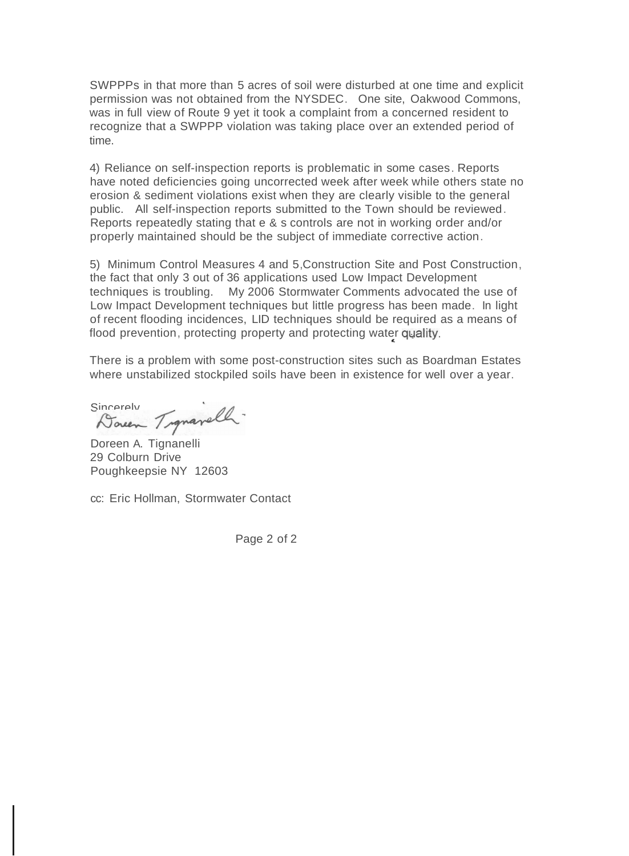SWPPPs in that more than 5 acres of soil were disturbed at one time and explicit permission was not obtained from the NYSDEC. One site, Oakwood Commons, was in full view of Route 9 yet it took a complaint from a concerned resident to recognize that a SWPPP violation was taking place over an extended period of time.

4) Reliance on self-inspection reports is problematic in some cases. Reports have noted deficiencies going uncorrected week after week while others state no erosion & sediment violations exist when they are clearly visible to the general public. All self-inspection reports submitted to the Town should be reviewed. Reports repeatedly stating that e & s controls are not in working order and/or properly maintained should be the subject of immediate corrective action.

5) Minimum Control Measures 4 and 5,Construction Site and Post Construction, the fact that only 3 out of 36 applications used Low Impact Development techniques is troubling. My 2006 Stormwater Comments advocated the use of Low Impact Development techniques but little progress has been made. In light of recent flooding incidences, LID techniques should be required as a means of flood prevention, protecting property and protecting water quality.

There is a problem with some post-construction sites such as Boardman Estates where unstabilized stockpiled soils have been in existence for well over a year.

Sincerely Transvell.

Doreen A. Tignanelli 29 Colburn Drive Poughkeepsie NY 12603

cc: Eric Hollman, Stormwater Contact

Page 2 of 2